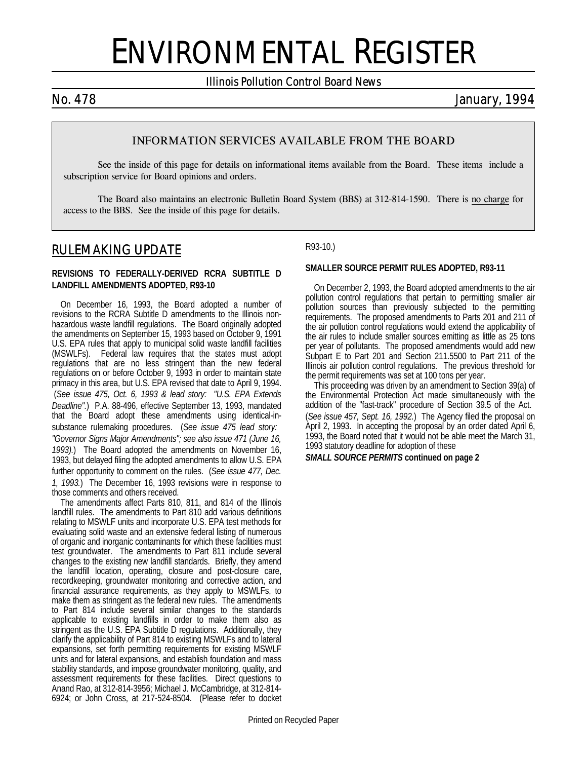# ENVIRONMENTAL REGISTER

*Illinois Pollution Control Board News*

*No. 478 January, 1994*

### **INFORMATION SERVICES AVAILABLE FROM THE BOARD**

See the inside of this page for details on informational items available from the Board. These items include a subscription service for Board opinions and orders.

The Board also maintains an electronic Bulletin Board System (BBS) at 312-814-1590. There is no charge for access to the BBS. See the inside of this page for details.

### *RULEMAKING UPDATE*

### **REVISIONS TO FEDERALLY-DERIVED RCRA SUBTITLE D LANDFILL AMENDMENTS ADOPTED, R93-10**

On December 16, 1993, the Board adopted a number of revisions to the RCRA Subtitle D amendments to the Illinois nonhazardous waste landfill regulations. The Board originally adopted the amendments on September 15, 1993 based on October 9, 1991 U.S. EPA rules that apply to municipal solid waste landfill facilities (MSWLFs). Federal law requires that the states must adopt regulations that are no less stringent than the new federal regulations on or before October 9, 1993 in order to maintain state primacy in this area, but U.S. EPA revised that date to April 9, 1994. (*See issue 475, Oct. 6, 1993 & lead story: "U.S. EPA Extends Deadline".*) P.A. 88-496, effective September 13, 1993, mandated that the Board adopt these amendments using identical-insubstance rulemaking procedures. (*See issue 475 lead story: "Governor Signs Major Amendments"; see also issue 471 (June 16, 1993).*) The Board adopted the amendments on November 16, 1993, but delayed filing the adopted amendments to allow U.S. EPA further opportunity to comment on the rules. (*See issue 477, Dec. 1, 1993.*) The December 16, 1993 revisions were in response to those comments and others received.

The amendments affect Parts 810, 811, and 814 of the Illinois landfill rules. The amendments to Part 810 add various definitions relating to MSWLF units and incorporate U.S. EPA test methods for evaluating solid waste and an extensive federal listing of numerous of organic and inorganic contaminants for which these facilities must test groundwater. The amendments to Part 811 include several changes to the existing new landfill standards. Briefly, they amend the landfill location, operating, closure and post-closure care, recordkeeping, groundwater monitoring and corrective action, and financial assurance requirements, as they apply to MSWLFs, to make them as stringent as the federal new rules. The amendments to Part 814 include several similar changes to the standards applicable to existing landfills in order to make them also as stringent as the U.S. EPA Subtitle D regulations. Additionally, they clarify the applicability of Part 814 to existing MSWLFs and to lateral expansions, set forth permitting requirements for existing MSWLF units and for lateral expansions, and establish foundation and mass stability standards, and impose groundwater monitoring, quality, and assessment requirements for these facilities. Direct questions to Anand Rao, at 312-814-3956; Michael J. McCambridge, at 312-814- 6924; or John Cross, at 217-524-8504. (Please refer to docket

R93-10.)

### **SMALLER SOURCE PERMIT RULES ADOPTED, R93-11**

On December 2, 1993, the Board adopted amendments to the air pollution control regulations that pertain to permitting smaller air pollution sources than previously subjected to the permitting requirements. The proposed amendments to Parts 201 and 211 of the air pollution control regulations would extend the applicability of the air rules to include smaller sources emitting as little as 25 tons per year of pollutants. The proposed amendments would add new Subpart E to Part 201 and Section 211.5500 to Part 211 of the Illinois air pollution control regulations. The previous threshold for the permit requirements was set at 100 tons per year.

This proceeding was driven by an amendment to Section 39(a) of the Environmental Protection Act made simultaneously with the addition of the "fast-track" procedure of Section 39.5 of the Act. (*See issue 457, Sept. 16, 1992.*) The Agency filed the proposal on April 2, 1993. In accepting the proposal by an order dated April 6, 1993, the Board noted that it would not be able meet the March 31, 1993 statutory deadline for adoption of these

#### *SMALL SOURCE PERMITS* **continued on page 2**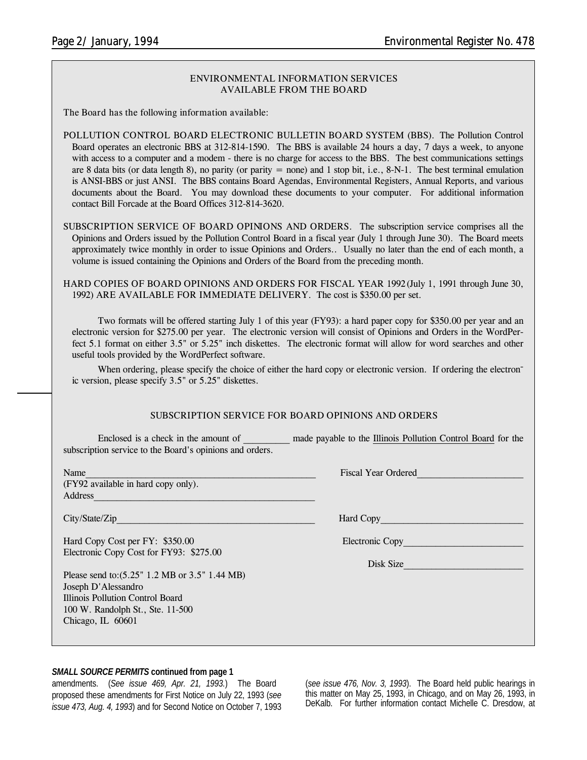### **ENVIRONMENTAL INFORMATION SERVICES AVAILABLE FROM THE BOARD**

**The Board has the following information available:**

**POLLUTION CONTROL BOARD ELECTRONIC BULLETIN BOARD SYSTEM (BBS).** The Pollution Control Board operates an electronic BBS at 312-814-1590. The BBS is available 24 hours a day, 7 days a week, to anyone with access to a computer and a modem - there is no charge for access to the BBS. The best communications settings are 8 data bits (or data length 8), no parity (or parity = none) and 1 stop bit, i.e.,  $8-N-1$ . The best terminal emulation is ANSI-BBS or just ANSI. The BBS contains Board Agendas, Environmental Registers, Annual Reports, and various documents about the Board. You may download these documents to your computer. For additional information contact Bill Forcade at the Board Offices 312-814-3620.

**SUBSCRIPTION SERVICE OF BOARD OPINIONS AND ORDERS.** The subscription service comprises all the Opinions and Orders issued by the Pollution Control Board in a fiscal year (July 1 through June 30). The Board meets approximately twice monthly in order to issue Opinions and Orders.. Usually no later than the end of each month, a volume is issued containing the Opinions and Orders of the Board from the preceding month.

**HARD COPIES OF BOARD OPINIONS AND ORDERS FOR FISCAL YEAR 1992** (July 1, 1991 through June 30, 1992) **ARE AVAILABLE FOR IMMEDIATE DELIVERY.** The cost is \$350.00 per set.

Two formats will be offered starting July 1 of this year (FY93): a hard paper copy for \$350.00 per year and an electronic version for \$275.00 per year. The electronic version will consist of Opinions and Orders in the WordPerfect 5.1 format on either 3.5" or 5.25" inch diskettes. The electronic format will allow for word searches and other useful tools provided by the WordPerfect software.

When ordering, please specify the choice of either the hard copy or electronic version. If ordering the electronic version, please specify 3.5" or 5.25" diskettes.

#### **SUBSCRIPTION SERVICE FOR BOARD OPINIONS AND ORDERS**

Enclosed is a check in the amount of \_\_\_\_\_\_\_\_\_\_ made payable to the Illinois Pollution Control Board for the subscription service to the Board's opinions and orders.

(FY92 available in hard copy only). Address\_\_\_\_\_\_\_\_\_\_\_\_\_\_\_\_\_\_\_\_\_\_\_\_\_\_\_\_\_\_\_\_\_\_\_\_\_\_\_\_\_\_\_\_\_\_\_\_

City/State/Zip

Hard Copy Cost per FY: \$350.00 Electronic Copy Electronic Copy Cost for FY93: \$275.00

Please send to:(5.25" 1.2 MB or 3.5" 1.44 MB) Joseph D'Alessandro Illinois Pollution Control Board 100 W. Randolph St., Ste. 11-500 Chicago, IL 60601

Name The Contract of the Contract of the Contract of the Contract of the Contract of the Contract of the Contract of the Contract of the Contract of the Contract of the Contract of the Contract of the Contract of the Contr

Disk Size\_\_\_\_\_\_\_\_\_\_\_\_\_\_\_\_\_\_\_\_\_\_\_\_\_\_

### *SMALL SOURCE PERMITS* **continued from page 1**

amendments. (*See issue 469, Apr. 21, 1993.*) The Board proposed these amendments for First Notice on July 22, 1993 (*see issue 473, Aug. 4, 1993*) and for Second Notice on October 7, 1993

(*see issue 476, Nov. 3, 1993*). The Board held public hearings in this matter on May 25, 1993, in Chicago, and on May 26, 1993, in DeKalb. For further information contact Michelle C. Dresdow, at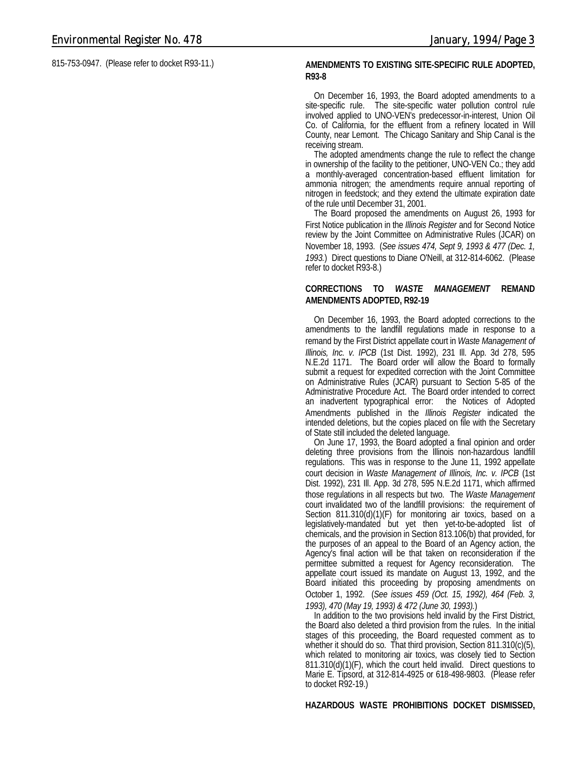815-753-0947. (Please refer to docket R93-11.) **AMENDMENTS TO EXISTING SITE-SPECIFIC RULE ADOPTED,**

## **R93-8**

On December 16, 1993, the Board adopted amendments to a site-specific rule. The site-specific water pollution control rule involved applied to UNO-VEN's predecessor-in-interest, Union Oil Co. of California, for the effluent from a refinery located in Will County, near Lemont. The Chicago Sanitary and Ship Canal is the receiving stream.

The adopted amendments change the rule to reflect the change in ownership of the facility to the petitioner, UNO-VEN Co.; they add a monthly-averaged concentration-based effluent limitation for ammonia nitrogen; the amendments require annual reporting of nitrogen in feedstock; and they extend the ultimate expiration date of the rule until December 31, 2001.

The Board proposed the amendments on August 26, 1993 for First Notice publication in the *Illinois Register* and for Second Notice review by the Joint Committee on Administrative Rules (JCAR) on November 18, 1993. (*See issues 474, Sept 9, 1993 & 477 (Dec. 1, 1993.*) Direct questions to Diane O'Neill, at 312-814-6062. (Please refer to docket R93-8.)

### **CORRECTIONS TO** *WASTE MANAGEMENT* **REMAND AMENDMENTS ADOPTED, R92-19**

On December 16, 1993, the Board adopted corrections to the amendments to the landfill regulations made in response to a remand by the First District appellate court in *Waste Management of Illinois, Inc. v. IPCB* (1st Dist. 1992), 231 Ill. App. 3d 278, 595 N.E.2d 1171. The Board order will allow the Board to formally submit a request for expedited correction with the Joint Committee on Administrative Rules (JCAR) pursuant to Section 5-85 of the Administrative Procedure Act. The Board order intended to correct an inadvertent typographical error: the Notices of Adopted Amendments published in the *Illinois Register* indicated the intended deletions, but the copies placed on file with the Secretary of State still included the deleted language.

On June 17, 1993, the Board adopted a final opinion and order deleting three provisions from the Illinois non-hazardous landfill regulations. This was in response to the June 11, 1992 appellate court decision in *Waste Management of Illinois, Inc. v. IPCB* (1st Dist. 1992), 231 Ill. App. 3d 278, 595 N.E.2d 1171, which affirmed those regulations in all respects but two. The *Waste Management* court invalidated two of the landfill provisions: the requirement of Section 811.310(d)(1)(F) for monitoring air toxics, based on a legislatively-mandated but yet then yet-to-be-adopted list of chemicals, and the provision in Section 813.106(b) that provided, for the purposes of an appeal to the Board of an Agency action, the Agency's final action will be that taken on reconsideration if the permittee submitted a request for Agency reconsideration. The appellate court issued its mandate on August 13, 1992, and the Board initiated this proceeding by proposing amendments on October 1, 1992. (*See issues 459 (Oct. 15, 1992), 464 (Feb. 3, 1993), 470 (May 19, 1993) & 472 (June 30, 1993).*)

In addition to the two provisions held invalid by the First District, the Board also deleted a third provision from the rules. In the initial stages of this proceeding, the Board requested comment as to whether it should do so. That third provision, Section 811.310(c)(5), which related to monitoring air toxics, was closely tied to Section 811.310(d)(1)(F), which the court held invalid. Direct questions to Marie E. Tipsord, at 312-814-4925 or 618-498-9803. (Please refer to docket R92-19.)

#### **HAZARDOUS WASTE PROHIBITIONS DOCKET DISMISSED,**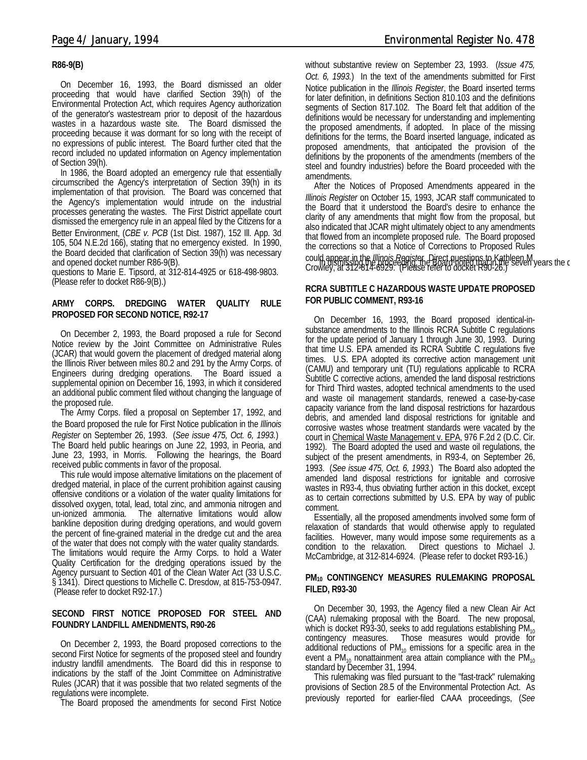### **R86-9(B)**

On December 16, 1993, the Board dismissed an older proceeding that would have clarified Section 39(h) of the Environmental Protection Act, which requires Agency authorization of the generator's wastestream prior to deposit of the hazardous wastes in a hazardous waste site. The Board dismissed the proceeding because it was dormant for so long with the receipt of no expressions of public interest. The Board further cited that the record included no updated information on Agency implementation of Section 39(h).

In 1986, the Board adopted an emergency rule that essentially circumscribed the Agency's interpretation of Section 39(h) in its implementation of that provision. The Board was concerned that the Agency's implementation would intrude on the industrial processes generating the wastes. The First District appellate court dismissed the emergency rule in an appeal filed by the Citizens for a Better Environment, (*CBE v. PCB* (1st Dist. 1987), 152 Ill. App. 3d 105, 504 N.E.2d 166), stating that no emergency existed. In 1990, the Board decided that clarification of Section 39(h) was necessary

questions to Marie E. Tipsord, at 312-814-4925 or 618-498-9803. (Please refer to docket R86-9(B).)

### **ARMY CORPS. DREDGING WATER QUALITY RULE PROPOSED FOR SECOND NOTICE, R92-17**

On December 2, 1993, the Board proposed a rule for Second Notice review by the Joint Committee on Administrative Rules (JCAR) that would govern the placement of dredged material along the Illinois River between miles 80.2 and 291 by the Army Corps. of Engineers during dredging operations. The Board issued a supplemental opinion on December 16, 1993, in which it considered an additional public comment filed without changing the language of the proposed rule.

The Army Corps. filed a proposal on September 17, 1992, and the Board proposed the rule for First Notice publication in the *Illinois Register* on September 26, 1993. (*See issue 475, Oct. 6, 1993.*) The Board held public hearings on June 22, 1993, in Peoria, and June 23, 1993, in Morris. Following the hearings, the Board received public comments in favor of the proposal.

This rule would impose alternative limitations on the placement of dredged material, in place of the current prohibition against causing offensive conditions or a violation of the water quality limitations for dissolved oxygen, total, lead, total zinc, and ammonia nitrogen and un-ionized ammonia. The alternative limitations would allow bankline deposition during dredging operations, and would govern the percent of fine-grained material in the dredge cut and the area of the water that does not comply with the water quality standards. The limitations would require the Army Corps. to hold a Water Quality Certification for the dredging operations issued by the Agency pursuant to Section 401 of the Clean Water Act (33 U.S.C. § 1341). Direct questions to Michelle C. Dresdow, at 815-753-0947. (Please refer to docket R92-17.)

### **SECOND FIRST NOTICE PROPOSED FOR STEEL AND FOUNDRY LANDFILL AMENDMENTS, R90-26**

On December 2, 1993, the Board proposed corrections to the second First Notice for segments of the proposed steel and foundry industry landfill amendments. The Board did this in response to indications by the staff of the Joint Committee on Administrative Rules (JCAR) that it was possible that two related segments of the regulations were incomplete.

The Board proposed the amendments for second First Notice

without substantive review on September 23, 1993. (*Issue 475, Oct. 6, 1993.*) In the text of the amendments submitted for First Notice publication in the *Illinois Register*, the Board inserted terms for later definition, in definitions Section 810.103 and the definitions segments of Section 817.102. The Board felt that addition of the definitions would be necessary for understanding and implementing the proposed amendments, if adopted. In place of the missing definitions for the terms, the Board inserted language, indicated as proposed amendments, that anticipated the provision of the definitions by the proponents of the amendments (members of the steel and foundry industries) before the Board proceeded with the amendments.

ine board decided that claimcator of Section 37(ii) was necessary could appear in the *Illinois Register* Direct questions to Kathleen M<br>Crownshipsingshipsing the Lange Children Change Children Children Children Children C After the Notices of Proposed Amendments appeared in the *Illinois Register* on October 15, 1993, JCAR staff communicated to the Board that it understood the Board's desire to enhance the clarity of any amendments that might flow from the proposal, but also indicated that JCAR might ultimately object to any amendments that flowed from an incomplete proposed rule. The Board proposed the corrections so that a Notice of Corrections to Proposed Rules Crowley, at 312-814-6929. (Please refer to docket R90-26.)

### **RCRA SUBTITLE C HAZARDOUS WASTE UPDATE PROPOSED FOR PUBLIC COMMENT, R93-16**

On December 16, 1993, the Board proposed identical-insubstance amendments to the Illinois RCRA Subtitle C regulations for the update period of January 1 through June 30, 1993. During that time U.S. EPA amended its RCRA Subtitle C regulations five times. U.S. EPA adopted its corrective action management unit (CAMU) and temporary unit (TU) regulations applicable to RCRA Subtitle C corrective actions, amended the land disposal restrictions for Third Third wastes, adopted technical amendments to the used and waste oil management standards, renewed a case-by-case capacity variance from the land disposal restrictions for hazardous debris, and amended land disposal restrictions for ignitable and corrosive wastes whose treatment standards were vacated by the court in Chemical Waste Management v. EPA, 976 F.2d 2 (D.C. Cir. 1992). The Board adopted the used and waste oil regulations, the subject of the present amendments, in R93-4, on September 26, 1993. (*See issue 475, Oct. 6, 1993.*) The Board also adopted the amended land disposal restrictions for ignitable and corrosive wastes in R93-4, thus obviating further action in this docket, except as to certain corrections submitted by U.S. EPA by way of public comment.

Essentially, all the proposed amendments involved some form of relaxation of standards that would otherwise apply to regulated facilities. However, many would impose some requirements as a condition to the relaxation. Direct questions to Michael J. McCambridge, at 312-814-6924. (Please refer to docket R93-16.)

### **PM10 CONTINGENCY MEASURES RULEMAKING PROPOSAL FILED, R93-30**

On December 30, 1993, the Agency filed a new Clean Air Act (CAA) rulemaking proposal with the Board. The new proposal, which is docket  $\overline{R}93-30$ , seeks to add regulations establishing  $PM_{10}$  contingency measures. Those measures would provide for Those measures would provide for additional reductions of  $PM_{10}$  emissions for a specific area in the event a  $PM_{10}$  nonattainment area attain compliance with the  $PM_{10}$ standard by December 31, 1994.

This rulemaking was filed pursuant to the "fast-track" rulemaking provisions of Section 28.5 of the Environmental Protection Act. As previously reported for earlier-filed CAAA proceedings, (*See*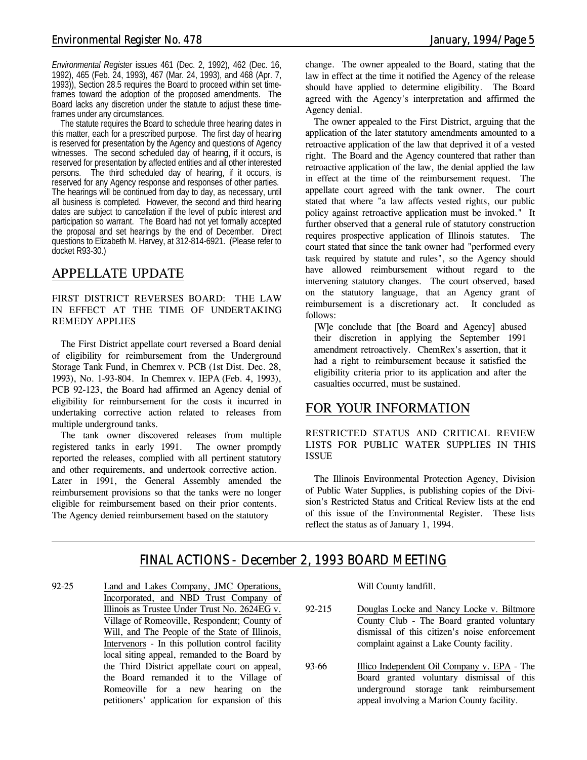*Environmental Register* issues 461 (Dec. 2, 1992), 462 (Dec. 16, 1992), 465 (Feb. 24, 1993), 467 (Mar. 24, 1993), and 468 (Apr. 7, 1993)), Section 28.5 requires the Board to proceed within set timeframes toward the adoption of the proposed amendments. The Board lacks any discretion under the statute to adjust these timeframes under any circumstances.

The statute requires the Board to schedule three hearing dates in this matter, each for a prescribed purpose. The first day of hearing is reserved for presentation by the Agency and questions of Agency witnesses. The second scheduled day of hearing, if it occurs, is reserved for presentation by affected entities and all other interested persons. The third scheduled day of hearing, if it occurs, is reserved for any Agency response and responses of other parties. The hearings will be continued from day to day, as necessary, until all business is completed. However, the second and third hearing dates are subject to cancellation if the level of public interest and participation so warrant. The Board had not yet formally accepted the proposal and set hearings by the end of December. Direct questions to Elizabeth M. Harvey, at 312-814-6921. (Please refer to docket R93-30.)

### *APPELLATE UPDATE*

### **FIRST DISTRICT REVERSES BOARD: THE LAW IN EFFECT AT THE TIME OF UNDERTAKING REMEDY APPLIES**

The First District appellate court reversed a Board denial of eligibility for reimbursement from the Underground Storage Tank Fund, in *Chemrex v. PCB* (1st Dist. Dec. 28, 1993), No. 1-93-804. In *Chemrex v. IEPA* (Feb. 4, 1993), PCB 92-123, the Board had affirmed an Agency denial of eligibility for reimbursement for the costs it incurred in undertaking corrective action related to releases from multiple underground tanks.

The tank owner discovered releases from multiple registered tanks in early 1991. The owner promptly reported the releases, complied with all pertinent statutory and other requirements, and undertook corrective action. Later in 1991, the General Assembly amended the reimbursement provisions so that the tanks were no longer eligible for reimbursement based on their prior contents. The Agency denied reimbursement based on the statutory

change. The owner appealed to the Board, stating that the law in effect at the time it notified the Agency of the release should have applied to determine eligibility. The Board agreed with the Agency's interpretation and affirmed the Agency denial.

The owner appealed to the First District, arguing that the application of the later statutory amendments amounted to a retroactive application of the law that deprived it of a vested right. The Board and the Agency countered that rather than retroactive application of the law, the denial applied the law in effect at the time of the reimbursement request. The appellate court agreed with the tank owner. The court stated that where "a law affects vested rights, our public policy against retroactive application must be invoked." It further observed that a general rule of statutory construction requires prospective application of Illinois statutes. The court stated that since the tank owner had "performed every task required by statute and rules", so the Agency should have allowed reimbursement without regard to the intervening statutory changes. The court observed, based on the statutory language, that an Agency grant of reimbursement is a discretionary act. It concluded as follows:

[W]e conclude that [the Board and Agency] abused their discretion in applying the September 1991 amendment retroactively. ChemRex's assertion, that it had a right to reimbursement because it satisfied the eligibility criteria prior to its application and after the casualties occurred, must be sustained.

### *FOR YOUR INFORMATION*

**RESTRICTED STATUS AND CRITICAL REVIEW LISTS FOR PUBLIC WATER SUPPLIES IN THIS ISSUE**

The Illinois Environmental Protection Agency, Division of Public Water Supplies, is publishing copies of the Division's Restricted Status and Critical Review lists at the end of this issue of the Environmental Register. These lists reflect the status as of January 1, 1994.

### *FINAL ACTIONS - December 2, 1993 BOARD MEETING*

92-25 Land and Lakes Company, JMC Operations, Incorporated, and NBD Trust Company of Illinois as Trustee Under Trust No. 2624EG v. Village of Romeoville, Respondent; County of Will, and The People of the State of Illinois, Intervenors - In this pollution control facility local siting appeal, remanded to the Board by the Third District appellate court on appeal, the Board remanded it to the Village of Romeoville for a new hearing on the petitioners' application for expansion of this

Will County landfill.

- 92-215 Douglas Locke and Nancy Locke v. Biltmore County Club - The Board granted voluntary dismissal of this citizen's noise enforcement complaint against a Lake County facility.
- 93-66 Illico Independent Oil Company v. EPA The Board granted voluntary dismissal of this underground storage tank reimbursement appeal involving a Marion County facility.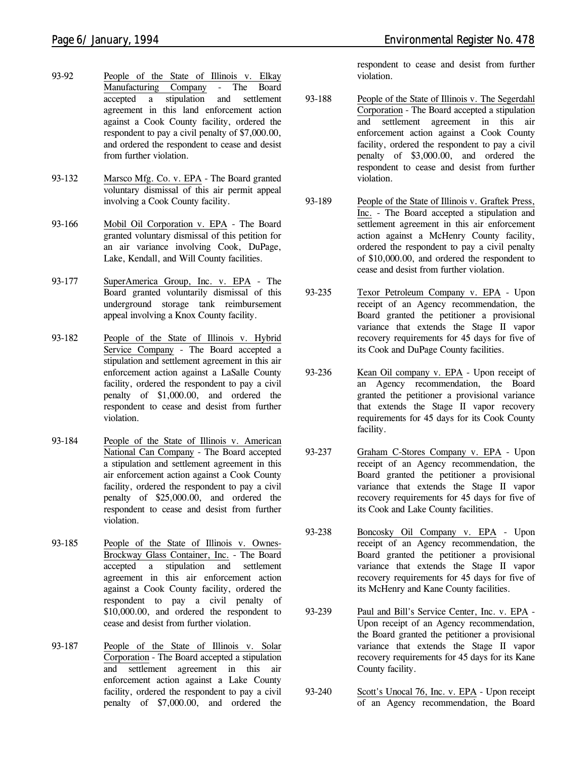- 93-92 People of the State of Illinois v. Elkay Manufacturing Company - The Board accepted a stipulation and settlement agreement in this land enforcement action against a Cook County facility, ordered the respondent to pay a civil penalty of \$7,000.00, and ordered the respondent to cease and desist from further violation.
- 93-132 Marsco Mfg. Co. v. EPA The Board granted voluntary dismissal of this air permit appeal involving a Cook County facility.
- 93-166 Mobil Oil Corporation v. EPA The Board granted voluntary dismissal of this petition for an air variance involving Cook, DuPage, Lake, Kendall, and Will County facilities.
- 93-177 SuperAmerica Group, Inc. v. EPA The Board granted voluntarily dismissal of this underground storage tank reimbursement appeal involving a Knox County facility.
- 93-182 People of the State of Illinois v. Hybrid Service Company - The Board accepted a stipulation and settlement agreement in this air enforcement action against a LaSalle County facility, ordered the respondent to pay a civil penalty of \$1,000.00, and ordered the respondent to cease and desist from further violation.
- 93-184 People of the State of Illinois v. American National Can Company - The Board accepted a stipulation and settlement agreement in this air enforcement action against a Cook County facility, ordered the respondent to pay a civil penalty of \$25,000.00, and ordered the respondent to cease and desist from further violation.
- 93-185 People of the State of Illinois v. Ownes-Brockway Glass Container, Inc. - The Board accepted a stipulation and settlement agreement in this air enforcement action against a Cook County facility, ordered the respondent to pay a civil penalty of \$10,000.00, and ordered the respondent to cease and desist from further violation.
- 93-187 People of the State of Illinois v. Solar Corporation - The Board accepted a stipulation and settlement agreement in this air enforcement action against a Lake County facility, ordered the respondent to pay a civil penalty of \$7,000.00, and ordered the

respondent to cease and desist from further violation.

- 93-188 People of the State of Illinois v. The Segerdahl Corporation - The Board accepted a stipulation and settlement agreement in this air enforcement action against a Cook County facility, ordered the respondent to pay a civil penalty of \$3,000.00, and ordered the respondent to cease and desist from further violation.
- 93-189 People of the State of Illinois v. Graftek Press, Inc. - The Board accepted a stipulation and settlement agreement in this air enforcement action against a McHenry County facility, ordered the respondent to pay a civil penalty of \$10,000.00, and ordered the respondent to cease and desist from further violation.
- 93-235 Texor Petroleum Company v. EPA Upon receipt of an Agency recommendation, the Board granted the petitioner a provisional variance that extends the Stage II vapor recovery requirements for 45 days for five of its Cook and DuPage County facilities.
- 93-236 Kean Oil company v. EPA Upon receipt of an Agency recommendation, the Board granted the petitioner a provisional variance that extends the Stage II vapor recovery requirements for 45 days for its Cook County facility.
- 93-237 Graham C-Stores Company v. EPA Upon receipt of an Agency recommendation, the Board granted the petitioner a provisional variance that extends the Stage II vapor recovery requirements for 45 days for five of its Cook and Lake County facilities.
- 93-238 Boncosky Oil Company v. EPA Upon receipt of an Agency recommendation, the Board granted the petitioner a provisional variance that extends the Stage II vapor recovery requirements for 45 days for five of its McHenry and Kane County facilities.
- 93-239 Paul and Bill's Service Center, Inc. v. EPA Upon receipt of an Agency recommendation, the Board granted the petitioner a provisional variance that extends the Stage II vapor recovery requirements for 45 days for its Kane County facility.
- 93-240 Scott's Unocal 76, Inc. v. EPA Upon receipt of an Agency recommendation, the Board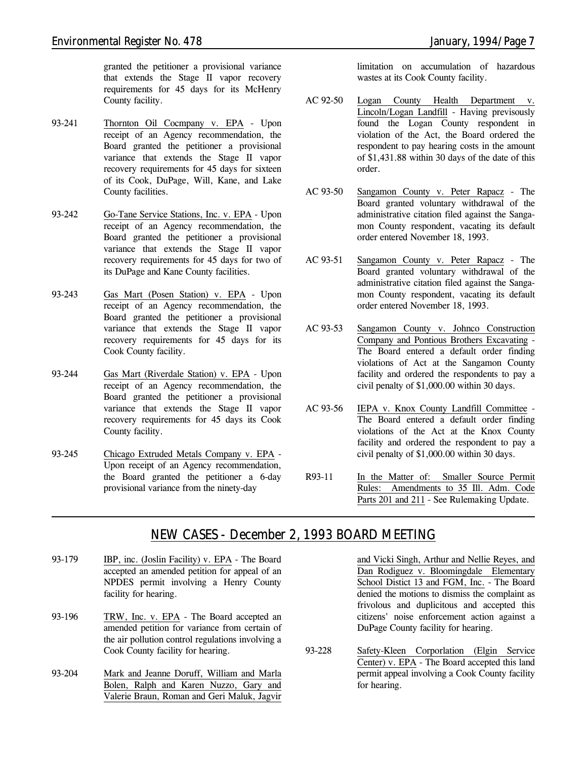granted the petitioner a provisional variance that extends the Stage II vapor recovery requirements for 45 days for its McHenry County facility.

- 93-241 Thornton Oil Cocmpany v. EPA Upon receipt of an Agency recommendation, the Board granted the petitioner a provisional variance that extends the Stage II vapor recovery requirements for 45 days for sixteen of its Cook, DuPage, Will, Kane, and Lake County facilities.
- 93-242 Go-Tane Service Stations, Inc. v. EPA Upon receipt of an Agency recommendation, the Board granted the petitioner a provisional variance that extends the Stage II vapor recovery requirements for 45 days for two of its DuPage and Kane County facilities.
- 93-243 Gas Mart (Posen Station) v. EPA Upon receipt of an Agency recommendation, the Board granted the petitioner a provisional variance that extends the Stage II vapor recovery requirements for 45 days for its Cook County facility.
- 93-244 Gas Mart (Riverdale Station) v. EPA Upon receipt of an Agency recommendation, the Board granted the petitioner a provisional variance that extends the Stage II vapor recovery requirements for 45 days its Cook County facility.
- 93-245 Chicago Extruded Metals Company v. EPA Upon receipt of an Agency recommendation, the Board granted the petitioner a 6-day provisional variance from the ninety-day

limitation on accumulation of hazardous wastes at its Cook County facility.

- AC 92-50 Logan County Health Department v. Lincoln/Logan Landfill - Having previsously found the Logan County respondent in violation of the Act, the Board ordered the respondent to pay hearing costs in the amount of \$1,431.88 within 30 days of the date of this order.
- AC 93-50 Sangamon County v. Peter Rapacz The Board granted voluntary withdrawal of the administrative citation filed against the Sangamon County respondent, vacating its default order entered November 18, 1993.
- AC 93-51 Sangamon County v. Peter Rapacz The Board granted voluntary withdrawal of the administrative citation filed against the Sangamon County respondent, vacating its default order entered November 18, 1993.
- AC 93-53 Sangamon County v. Johnco Construction Company and Pontious Brothers Excavating - The Board entered a default order finding violations of Act at the Sangamon County facility and ordered the respondents to pay a civil penalty of \$1,000.00 within 30 days.
- AC 93-56 IEPA v. Knox County Landfill Committee The Board entered a default order finding violations of the Act at the Knox County facility and ordered the respondent to pay a civil penalty of \$1,000.00 within 30 days.
- R93-11 In the Matter of: Smaller Source Permit Rules: Amendments to 35 Ill. Adm. Code Parts 201 and 211 - *See Rulemaking Update.*

### *NEW CASES - December 2, 1993 BOARD MEETING*

- 93-179 IBP, inc. (Joslin Facility) v. EPA The Board accepted an amended petition for appeal of an NPDES permit involving a Henry County facility for hearing.
- 93-196 TRW, Inc. v. EPA The Board accepted an amended petition for variance from certain of the air pollution control regulations involving a Cook County facility for hearing.
- 93-204 Mark and Jeanne Doruff, William and Marla Bolen, Ralph and Karen Nuzzo, Gary and Valerie Braun, Roman and Geri Maluk, Jagvir

and Vicki Singh, Arthur and Nellie Reyes, and Dan Rodiguez v. Bloomingdale Elementary School Distict 13 and FGM, Inc. - The Board denied the motions to dismiss the complaint as frivolous and duplicitous and accepted this citizens' noise enforcement action against a DuPage County facility for hearing.

93-228 Safety-Kleen Corporlation (Elgin Service Center) v. EPA - The Board accepted this land permit appeal involving a Cook County facility for hearing.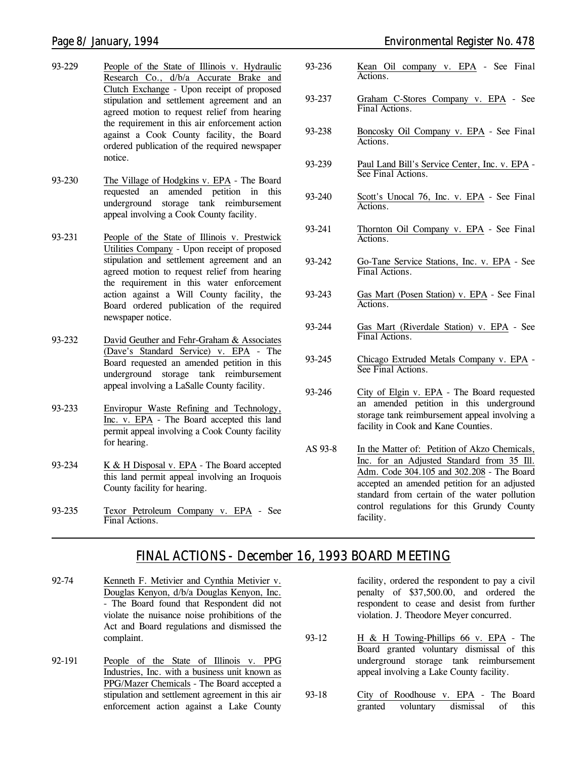- 93-229 People of the State of Illinois v. Hydraulic Research Co., d/b/a Accurate Brake and Clutch Exchange - Upon receipt of proposed stipulation and settlement agreement and an agreed motion to request relief from hearing the requirement in this air enforcement action against a Cook County facility, the Board ordered publication of the required newspaper notice.
- 93-230 The Village of Hodgkins v. EPA The Board requested an amended petition in this underground storage tank reimbursement appeal involving a Cook County facility.
- 93-231 People of the State of Illinois v. Prestwick Utilities Company - Upon receipt of proposed stipulation and settlement agreement and an agreed motion to request relief from hearing the requirement in this water enforcement action against a Will County facility, the Board ordered publication of the required newspaper notice.
- 93-232 David Geuther and Fehr-Graham & Associates (Dave's Standard Service) v. EPA - The Board requested an amended petition in this underground storage tank reimbursement appeal involving a LaSalle County facility.
- 93-233 Enviropur Waste Refining and Technology, Inc. v. EPA - The Board accepted this land permit appeal involving a Cook County facility for hearing.
- 93-234 K & H Disposal v. EPA The Board accepted this land permit appeal involving an Iroquois County facility for hearing.
- 93-235 Texor Petroleum Company v. EPA *See Final Actions.*
- *Page 8/ January, 1994 Environmental Register No. 478*
	- 93-236 Kean Oil company v. EPA *See Final Actions.*
	- 93-237 Graham C-Stores Company v. EPA *See Final Actions.*
	- 93-238 Boncosky Oil Company v. EPA *See Final Actions.*
	- 93-239 Paul Land Bill's Service Center, Inc. v. EPA *See Final Actions.*
	- 93-240 Scott's Unocal 76, Inc. v. EPA *See Final Actions.*
	- 93-241 Thornton Oil Company v. EPA *See Final Actions.*
	- 93-242 Go-Tane Service Stations, Inc. v. EPA *See Final Actions.*
	- 93-243 Gas Mart (Posen Station) v. EPA *See Final Actions.*
	- 93-244 Gas Mart (Riverdale Station) v. EPA *See Final Actions.*
	- 93-245 Chicago Extruded Metals Company v. EPA *See Final Actions.*
	- 93-246 City of Elgin v. EPA The Board requested an amended petition in this underground storage tank reimbursement appeal involving a facility in Cook and Kane Counties.
	- AS 93-8 In the Matter of: Petition of Akzo Chemicals, Inc. for an Adjusted Standard from 35 Ill. Adm. Code 304.105 and 302.208 - The Board accepted an amended petition for an adjusted standard from certain of the water pollution control regulations for this Grundy County facility.

### *FINAL ACTIONS - December 16, 1993 BOARD MEETING*

- 92-74 Kenneth F. Metivier and Cynthia Metivier v. Douglas Kenyon, d/b/a Douglas Kenyon, Inc. - The Board found that Respondent did not violate the nuisance noise prohibitions of the Act and Board regulations and dismissed the complaint.
- 92-191 People of the State of Illinois v. PPG Industries, Inc. with a business unit known as PPG/Mazer Chemicals - The Board accepted a stipulation and settlement agreement in this air enforcement action against a Lake County

facility, ordered the respondent to pay a civil penalty of \$37,500.00, and ordered the respondent to cease and desist from further violation. J. Theodore Meyer concurred.

- 93-12 H & H Towing-Phillips 66 v. EPA The Board granted voluntary dismissal of this underground storage tank reimbursement appeal involving a Lake County facility.
- 93-18 City of Roodhouse v. EPA The Board granted voluntary dismissal of this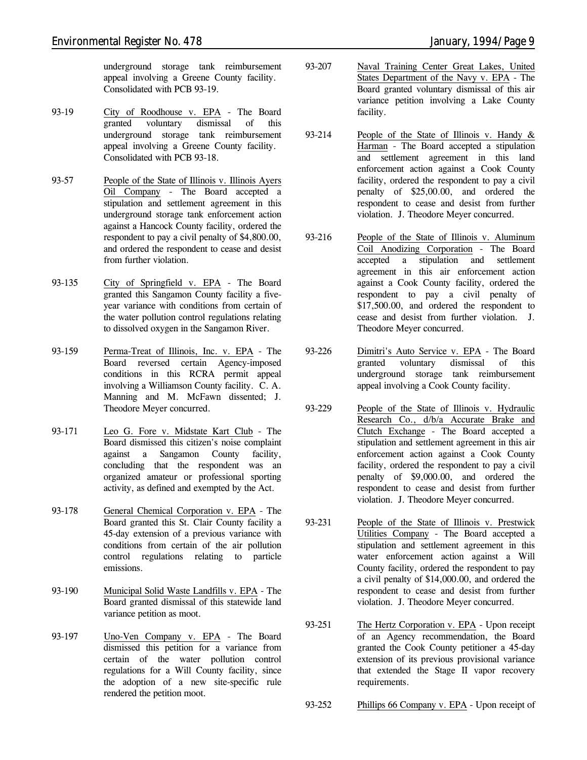underground storage tank reimbursement appeal involving a Greene County facility. Consolidated with PCB 93-19.

- 93-19 City of Roodhouse v. EPA The Board granted voluntary dismissal of this underground storage tank reimbursement appeal involving a Greene County facility. Consolidated with PCB 93-18.
- 93-57 People of the State of Illinois v. Illinois Ayers Oil Company - The Board accepted a stipulation and settlement agreement in this underground storage tank enforcement action against a Hancock County facility, ordered the respondent to pay a civil penalty of \$4,800.00, and ordered the respondent to cease and desist from further violation.
- 93-135 City of Springfield v. EPA The Board granted this Sangamon County facility a fiveyear variance with conditions from certain of the water pollution control regulations relating to dissolved oxygen in the Sangamon River.
- 93-159 Perma-Treat of Illinois, Inc. v. EPA The Board reversed certain Agency-imposed conditions in this RCRA permit appeal involving a Williamson County facility. C. A. Manning and M. McFawn dissented; J. Theodore Meyer concurred.
- 93-171 Leo G. Fore v. Midstate Kart Club The Board dismissed this citizen's noise complaint against a Sangamon County facility, concluding that the respondent was an organized amateur or professional sporting activity, as defined and exempted by the Act.
- 93-178 General Chemical Corporation v. EPA The Board granted this St. Clair County facility a 45-day extension of a previous variance with conditions from certain of the air pollution control regulations relating to particle emissions.
- 93-190 Municipal Solid Waste Landfills v. EPA The Board granted dismissal of this statewide land variance petition as moot.
- 93-197 Uno-Ven Company v. EPA The Board dismissed this petition for a variance from certain of the water pollution control regulations for a Will County facility, since the adoption of a new site-specific rule rendered the petition moot.
- 93-207 Naval Training Center Great Lakes, United States Department of the Navy v. EPA - The Board granted voluntary dismissal of this air variance petition involving a Lake County facility.
- 93-214 People of the State of Illinois v. Handy & Harman - The Board accepted a stipulation and settlement agreement in this land enforcement action against a Cook County facility, ordered the respondent to pay a civil penalty of \$25,00.00, and ordered the respondent to cease and desist from further violation. J. Theodore Meyer concurred.
- 93-216 People of the State of Illinois v. Aluminum Coil Anodizing Corporation - The Board accepted a stipulation and settlement agreement in this air enforcement action against a Cook County facility, ordered the respondent to pay a civil penalty of \$17,500.00, and ordered the respondent to cease and desist from further violation. J. Theodore Meyer concurred.
- 93-226 Dimitri's Auto Service v. EPA The Board granted voluntary dismissal of this underground storage tank reimbursement appeal involving a Cook County facility.
- 93-229 People of the State of Illinois v. Hydraulic Research Co., d/b/a Accurate Brake and Clutch Exchange - The Board accepted a stipulation and settlement agreement in this air enforcement action against a Cook County facility, ordered the respondent to pay a civil penalty of \$9,000.00, and ordered the respondent to cease and desist from further violation. J. Theodore Meyer concurred.
- 93-231 People of the State of Illinois v. Prestwick Utilities Company - The Board accepted a stipulation and settlement agreement in this water enforcement action against a Will County facility, ordered the respondent to pay a civil penalty of \$14,000.00, and ordered the respondent to cease and desist from further violation. J. Theodore Meyer concurred.
- 93-251 The Hertz Corporation v. EPA Upon receipt of an Agency recommendation, the Board granted the Cook County petitioner a 45-day extension of its previous provisional variance that extended the Stage II vapor recovery requirements.
- 93-252 Phillips 66 Company v. EPA Upon receipt of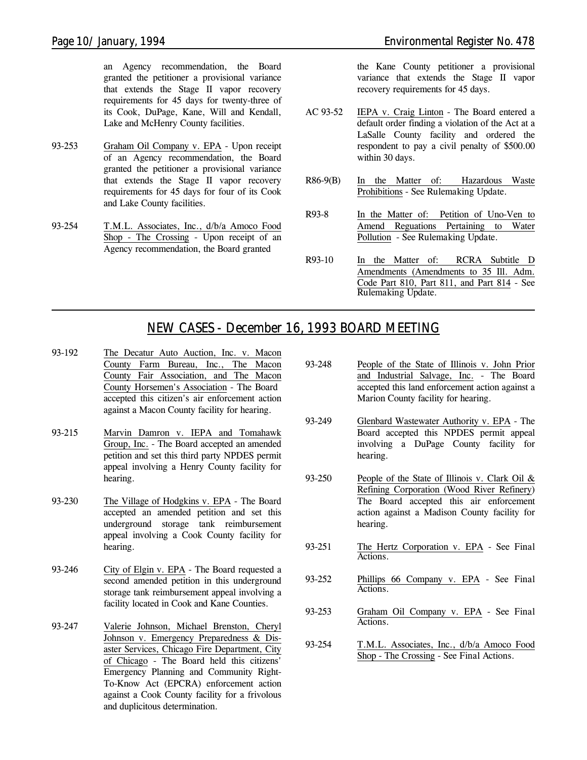an Agency recommendation, the Board granted the petitioner a provisional variance that extends the Stage II vapor recovery requirements for 45 days for twenty-three of its Cook, DuPage, Kane, Will and Kendall, Lake and McHenry County facilities.

- 93-253 Graham Oil Company v. EPA Upon receipt of an Agency recommendation, the Board granted the petitioner a provisional variance that extends the Stage II vapor recovery requirements for 45 days for four of its Cook and Lake County facilities.
- 93-254 T.M.L. Associates, Inc., d/b/a Amoco Food Shop - The Crossing - Upon receipt of an Agency recommendation, the Board granted

the Kane County petitioner a provisional variance that extends the Stage II vapor recovery requirements for 45 days.

- AC 93-52 IEPA v. Craig Linton The Board entered a default order finding a violation of the Act at a LaSalle County facility and ordered the respondent to pay a civil penalty of \$500.00 within 30 days.
- R86-9(B) In the Matter of: Hazardous Waste Prohibitions - *See Rulemaking Update.*
- R93-8 In the Matter of: Petition of Uno-Ven to Amend Reguations Pertaining to Water Pollution - *See Rulemaking Update.*
- R93-10 In the Matter of: RCRA Subtitle D Amendments (Amendments to 35 Ill. Adm. Code Part 810, Part 811, and Part 814 - *See Rulemaking Update.*

### *NEW CASES - December 16, 1993 BOARD MEETING*

- 93-192 The Decatur Auto Auction, Inc. v. Macon County Farm Bureau, Inc., The Macon County Fair Association, and The Macon County Horsemen's Association - The Board accepted this citizen's air enforcement action against a Macon County facility for hearing.
- 93-215 Marvin Damron v. IEPA and Tomahawk Group, Inc. - The Board accepted an amended petition and set this third party NPDES permit appeal involving a Henry County facility for hearing.
- 93-230 The Village of Hodgkins v. EPA The Board accepted an amended petition and set this underground storage tank reimbursement appeal involving a Cook County facility for hearing.
- 93-246 City of Elgin v. EPA The Board requested a second amended petition in this underground storage tank reimbursement appeal involving a facility located in Cook and Kane Counties.
- 93-247 Valerie Johnson, Michael Brenston, Cheryl Johnson v. Emergency Preparedness & Disaster Services, Chicago Fire Department, City of Chicago - The Board held this citizens' Emergency Planning and Community Right-To-Know Act (EPCRA) enforcement action against a Cook County facility for a frivolous and duplicitous determination.
- 93-248 People of the State of Illinois v. John Prior and Industrial Salvage, Inc. - The Board accepted this land enforcement action against a Marion County facility for hearing.
- 93-249 Glenbard Wastewater Authority v. EPA The Board accepted this NPDES permit appeal involving a DuPage County facility for hearing.
- 93-250 People of the State of Illinois v. Clark Oil & Refining Corporation (Wood River Refinery) The Board accepted this air enforcement action against a Madison County facility for hearing.
- 93-251 The Hertz Corporation v. EPA *See Final Actions.*
- 93-252 Phillips 66 Company v. EPA *See Final Actions.*
- 93-253 Graham Oil Company v. EPA *See Final Actions.*
- 93-254 T.M.L. Associates, Inc., d/b/a Amoco Food Shop - The Crossing - *See Final Actions.*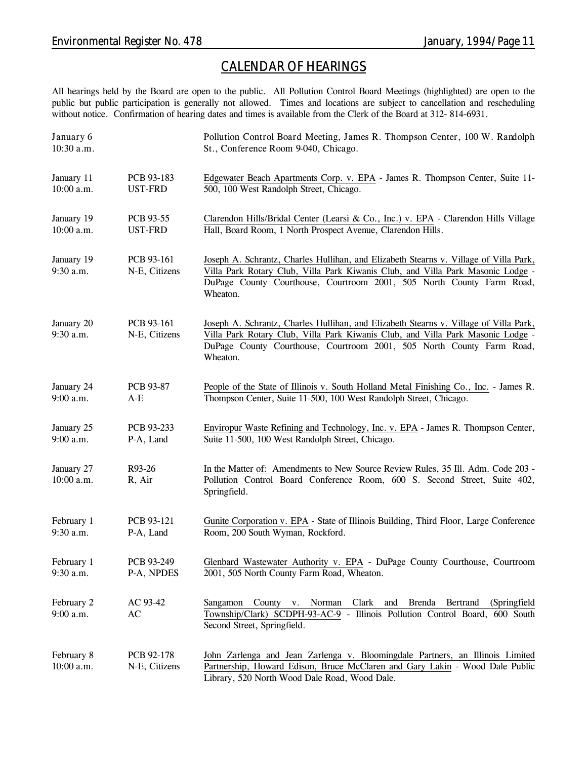### *CALENDAR OF HEARINGS*

All hearings held by the Board are open to the public. All Pollution Control Board Meetings (highlighted) are open to the public but public participation is generally not allowed. Times and locations are subject to cancellation and rescheduling without notice. Confirmation of hearing dates and times is available from the Clerk of the Board at 312- 814-6931.

| January 6<br>10:30 a.m.   |                             | Pollution Control Board Meeting, James R. Thompson Center, 100 W. Randolph<br>St., Conference Room 9-040, Chicago.                                                                                                                                            |
|---------------------------|-----------------------------|---------------------------------------------------------------------------------------------------------------------------------------------------------------------------------------------------------------------------------------------------------------|
| January 11                | PCB 93-183                  | Edgewater Beach Apartments Corp. v. EPA - James R. Thompson Center, Suite 11-                                                                                                                                                                                 |
| 10:00 a.m.                | <b>UST-FRD</b>              | 500, 100 West Randolph Street, Chicago.                                                                                                                                                                                                                       |
| January 19                | PCB 93-55                   | Clarendon Hills/Bridal Center (Learsi & Co., Inc.) v. EPA - Clarendon Hills Village                                                                                                                                                                           |
| 10:00 a.m.                | UST-FRD                     | Hall, Board Room, 1 North Prospect Avenue, Clarendon Hills.                                                                                                                                                                                                   |
| January 19<br>9:30 a.m.   | PCB 93-161<br>N-E, Citizens | Joseph A. Schrantz, Charles Hullihan, and Elizabeth Stearns v. Village of Villa Park,<br>Villa Park Rotary Club, Villa Park Kiwanis Club, and Villa Park Masonic Lodge -<br>DuPage County Courthouse, Courtroom 2001, 505 North County Farm Road,<br>Wheaton. |
| January 20<br>$9:30$ a.m. | PCB 93-161<br>N-E, Citizens | Joseph A. Schrantz, Charles Hullihan, and Elizabeth Stearns v. Village of Villa Park,<br>Villa Park Rotary Club, Villa Park Kiwanis Club, and Villa Park Masonic Lodge -<br>DuPage County Courthouse, Courtroom 2001, 505 North County Farm Road,<br>Wheaton. |
| January 24                | <b>PCB 93-87</b>            | People of the State of Illinois v. South Holland Metal Finishing Co., Inc. - James R.                                                                                                                                                                         |
| 9:00 a.m.                 | $A-E$                       | Thompson Center, Suite 11-500, 100 West Randolph Street, Chicago.                                                                                                                                                                                             |
| January 25                | PCB 93-233                  | Enviropur Waste Refining and Technology, Inc. v. EPA - James R. Thompson Center,                                                                                                                                                                              |
| 9:00 a.m.                 | P-A, Land                   | Suite 11-500, 100 West Randolph Street, Chicago.                                                                                                                                                                                                              |
| January 27<br>10:00 a.m.  | R93-26<br>R, Air            | In the Matter of: Amendments to New Source Review Rules, 35 Ill. Adm. Code 203 -<br>Pollution Control Board Conference Room, 600 S. Second Street, Suite 402,<br>Springfield.                                                                                 |
| February 1                | PCB 93-121                  | Gunite Corporation v. EPA - State of Illinois Building, Third Floor, Large Conference                                                                                                                                                                         |
| 9:30 a.m.                 | P-A, Land                   | Room, 200 South Wyman, Rockford.                                                                                                                                                                                                                              |
| February 1                | PCB 93-249                  | Glenbard Wastewater Authority v. EPA - DuPage County Courthouse, Courtroom                                                                                                                                                                                    |
| $9:30$ a.m.               | P-A, NPDES                  | 2001, 505 North County Farm Road, Wheaton.                                                                                                                                                                                                                    |
| February 2<br>9:00 a.m.   | AC 93-42<br>AC              | (Springfield)<br>Sangamon<br>County<br>Norman<br>Clark<br>Brenda Bertrand<br>V.<br>and<br>Township/Clark) SCDPH-93-AC-9 - Illinois Pollution Control Board, 600 South<br>Second Street, Springfield.                                                          |
| February 8<br>10:00 a.m.  | PCB 92-178<br>N-E, Citizens | John Zarlenga and Jean Zarlenga v. Bloomingdale Partners, an Illinois Limited<br>Partnership, Howard Edison, Bruce McClaren and Gary Lakin - Wood Dale Public<br>Library, 520 North Wood Dale Road, Wood Dale.                                                |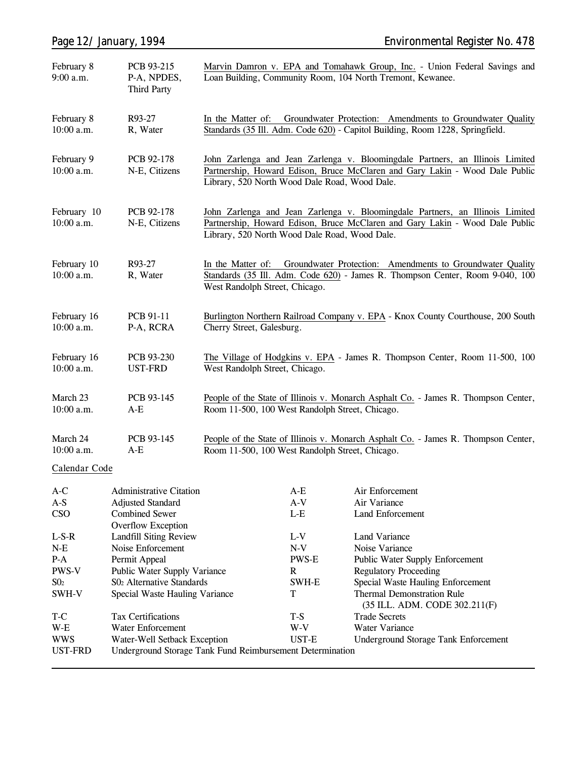| February 8<br>$9:00$ a.m.   | PCB 93-215<br>P-A, NPDES,<br><b>Third Party</b>           | Marvin Damron v. EPA and Tomahawk Group, Inc. - Union Federal Savings and<br>Loan Building, Community Room, 104 North Tremont, Kewanee.                                                                        |                                                                                                                                                                                                                |                                                                    |  |  |  |
|-----------------------------|-----------------------------------------------------------|----------------------------------------------------------------------------------------------------------------------------------------------------------------------------------------------------------------|----------------------------------------------------------------------------------------------------------------------------------------------------------------------------------------------------------------|--------------------------------------------------------------------|--|--|--|
| February 8<br>$10:00$ a.m.  | R93-27<br>R, Water                                        | Groundwater Protection: Amendments to Groundwater Quality<br>In the Matter of:<br>Standards (35 Ill. Adm. Code 620) - Capitol Building, Room 1228, Springfield.                                                |                                                                                                                                                                                                                |                                                                    |  |  |  |
| February 9<br>10:00 a.m.    | PCB 92-178<br>N-E, Citizens                               |                                                                                                                                                                                                                | John Zarlenga and Jean Zarlenga v. Bloomingdale Partners, an Illinois Limited<br>Partnership, Howard Edison, Bruce McClaren and Gary Lakin - Wood Dale Public<br>Library, 520 North Wood Dale Road, Wood Dale. |                                                                    |  |  |  |
| February 10<br>10:00 a.m.   | PCB 92-178<br>N-E, Citizens                               | John Zarlenga and Jean Zarlenga v. Bloomingdale Partners, an Illinois Limited<br>Partnership, Howard Edison, Bruce McClaren and Gary Lakin - Wood Dale Public<br>Library, 520 North Wood Dale Road, Wood Dale. |                                                                                                                                                                                                                |                                                                    |  |  |  |
| February 10<br>10:00 a.m.   | R93-27<br>R, Water                                        |                                                                                                                                                                                                                | In the Matter of: Groundwater Protection: Amendments to Groundwater Quality<br>Standards (35 Ill. Adm. Code 620) - James R. Thompson Center, Room 9-040, 100<br>West Randolph Street, Chicago.                 |                                                                    |  |  |  |
| February 16<br>10:00 a.m.   | PCB 91-11<br>P-A, RCRA                                    | Burlington Northern Railroad Company v. EPA - Knox County Courthouse, 200 South<br>Cherry Street, Galesburg.                                                                                                   |                                                                                                                                                                                                                |                                                                    |  |  |  |
| February 16<br>$10:00$ a.m. | PCB 93-230<br><b>UST-FRD</b>                              | The Village of Hodgkins v. EPA - James R. Thompson Center, Room 11-500, 100<br>West Randolph Street, Chicago.                                                                                                  |                                                                                                                                                                                                                |                                                                    |  |  |  |
| March 23<br>10:00 a.m.      | PCB 93-145<br>$A-E$                                       | People of the State of Illinois v. Monarch Asphalt Co. - James R. Thompson Center,<br>Room 11-500, 100 West Randolph Street, Chicago.                                                                          |                                                                                                                                                                                                                |                                                                    |  |  |  |
| March 24<br>10:00 a.m.      | PCB 93-145<br>$A-E$                                       | People of the State of Illinois v. Monarch Asphalt Co. - James R. Thompson Center,<br>Room 11-500, 100 West Randolph Street, Chicago.                                                                          |                                                                                                                                                                                                                |                                                                    |  |  |  |
| Calendar Code               |                                                           |                                                                                                                                                                                                                |                                                                                                                                                                                                                |                                                                    |  |  |  |
| $A-C$                       | <b>Administrative Citation</b>                            |                                                                                                                                                                                                                | $A-E$                                                                                                                                                                                                          | Air Enforcement                                                    |  |  |  |
| $A-S$                       | <b>Adjusted Standard</b>                                  |                                                                                                                                                                                                                | $A-V$                                                                                                                                                                                                          | Air Variance                                                       |  |  |  |
| CSO                         | <b>Combined Sewer</b>                                     |                                                                                                                                                                                                                | $L-E$                                                                                                                                                                                                          | Land Enforcement                                                   |  |  |  |
|                             | <b>Overflow Exception</b>                                 |                                                                                                                                                                                                                |                                                                                                                                                                                                                |                                                                    |  |  |  |
| $L-S-R$                     | Landfill Siting Review                                    |                                                                                                                                                                                                                | $L-V$                                                                                                                                                                                                          | Land Variance                                                      |  |  |  |
| $N-E$                       | Noise Enforcement                                         |                                                                                                                                                                                                                | $N-V$                                                                                                                                                                                                          | Noise Variance                                                     |  |  |  |
| $P-A$<br>PWS-V              | Permit Appeal                                             |                                                                                                                                                                                                                | <b>PWS-E</b><br>R                                                                                                                                                                                              | <b>Public Water Supply Enforcement</b>                             |  |  |  |
| S0 <sub>2</sub>             | Public Water Supply Variance<br>S02 Alternative Standards |                                                                                                                                                                                                                | SWH-E                                                                                                                                                                                                          | <b>Regulatory Proceeding</b><br>Special Waste Hauling Enforcement  |  |  |  |
| SWH-V                       | Special Waste Hauling Variance                            |                                                                                                                                                                                                                | T                                                                                                                                                                                                              | <b>Thermal Demonstration Rule</b><br>(35 ILL. ADM. CODE 302.211(F) |  |  |  |
| T-C                         | Tax Certifications                                        |                                                                                                                                                                                                                | $T-S$                                                                                                                                                                                                          | <b>Trade Secrets</b>                                               |  |  |  |
| $W-E$                       | Water Enforcement                                         |                                                                                                                                                                                                                | W-V                                                                                                                                                                                                            | Water Variance                                                     |  |  |  |
| <b>WWS</b>                  | Water-Well Setback Exception                              |                                                                                                                                                                                                                | UST-E                                                                                                                                                                                                          | <b>Underground Storage Tank Enforcement</b>                        |  |  |  |
| <b>UST-FRD</b>              | Underground Storage Tank Fund Reimbursement Determination |                                                                                                                                                                                                                |                                                                                                                                                                                                                |                                                                    |  |  |  |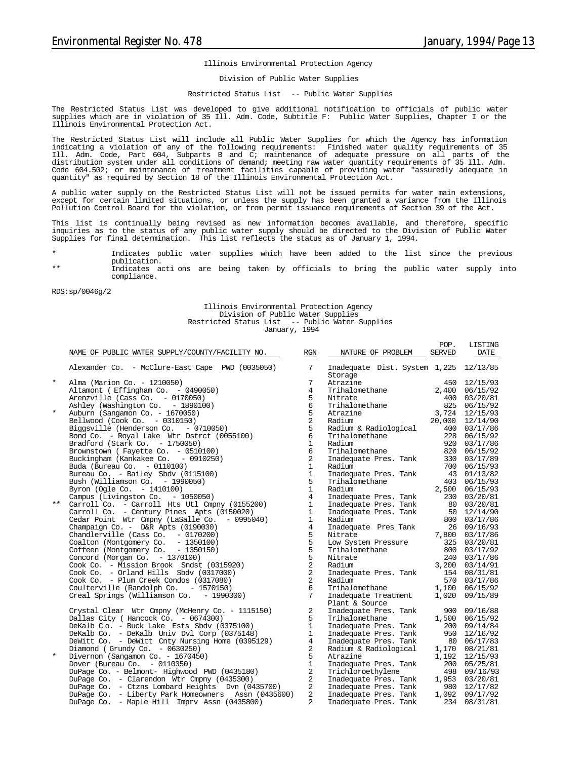POP. LISTING

#### Illinois Environmental Protection Agency

#### Division of Public Water Supplies

#### Restricted Status List -- Public Water Supplies

The Restricted Status List was developed to give additional notification to officials of public water supplies which are in violation of 35 Ill. Adm. Code, Subtitle F: Public Water Supplies, Chapter I or the Illinois Environmental Protection Act.

The Restricted Status List will include all Public Water Supplies for which the Agency has information indicating a violation of any of the following requirements: Finished water quality requirements of 35 Ill. Adm. Code, Part 604, Subparts B and C; maintenance of adequate pressure on all parts of the distribution system under all conditions of demand; meeting raw water quantity requirements of 35 Ill. Adm. Code 604.502; or maintenance of treatment facilities capable of providing water "assuredly adequate in quantity" as required by Section 18 of the Illinois Environmental Protection Act.

A public water supply on the Restricted Status List will not be issued permits for water main extensions, except for certain limited situations, or unless the supply has been granted a variance from the Illinois Pollution Control Board for the violation, or from permit issuance requirements of Section 39 of the Act.

This list is continually being revised as new information becomes available, and therefore, specific inquiries as to the status of any public water supply should be directed to the Division of Public Water Supplies for final determination. This list reflects the status as of January 1, 1994.

- Indicates public water supplies which have been added to the list since the previous publication. \*\* Indicates acti ons are being taken by officials to bring the public water supply into
- compliance.

RDS:sp/0046g/2

#### Illinois Environmental Protection Agency Division of Public Water Supplies Restricted Status List -- Public Water Supplies January, 1994

|            | RGN<br>NAME OF PUBLIC WATER SUPPLY/COUNTY/FACILITY NO. |                 | NATURE OF PROBLEM                                 | <b>SERVED</b> | <b>DATE</b>     |  |
|------------|--------------------------------------------------------|-----------------|---------------------------------------------------|---------------|-----------------|--|
|            | Alexander Co. - McClure-East Cape PWD (0035050)        | 7               | Inadequate Dist. System 1,225 12/13/85<br>Storage |               |                 |  |
| $^{\star}$ | Alma (Marion Co. - 1210050)                            | 7               | Atrazine                                          |               | 450 12/15/93    |  |
|            | Altamont (Effingham Co. - 0490050)                     | $\overline{4}$  | Trihalomethane                                    |               | 2,400 06/15/92  |  |
|            | Arenzville (Cass Co. - 0170050)                        | 5               | Nitrate                                           | 400           | 03/20/81        |  |
|            | Ashley (Washington Co. - 1890100)                      | 6               |                                                   |               | 825 06/15/92    |  |
| $\star$    | Auburn (Sangamon Co. - 1670050)                        | 5               |                                                   |               | 3,724 12/15/93  |  |
|            | Bellwood (Cook Co. - 0310150)                          | 2               | Trihalomethane<br>Atrazine<br>Padium              |               | 20,000 12/14/90 |  |
|            | Biggsville (Henderson Co. - 0710050)                   | 5               | Radium 2<br>Radium & Radiological                 |               | 400 03/17/86    |  |
|            | Bond Co. - Royal Lake Wtr Dstrct (0055100)             | 6               | Trihalomethane                                    | 228           | 06/15/92        |  |
|            | Bradford (Stark Co. - 1750050)                         | $\mathbf{1}$    | Radium                                            |               | 920 03/17/86    |  |
|            | Brownstown (Fayette Co. - 0510100)                     | 6               | Trihalomethane                                    |               | 820 06/15/92    |  |
|            | Buckingham (Kankakee Co. - 0910250)                    | 2               | Inadequate Pres. Tank                             |               | 330 03/17/89    |  |
|            | Buda (Bureau Co. - 0110100)                            | $\mathbf{1}$    | Radium                                            |               | 700 06/15/93    |  |
|            | Bureau Co. - Bailey Sbdv (0115100)                     | $\mathbf{1}$    | Inadequate Pres. Tank                             |               | 43 01/13/82     |  |
|            | Bush (Williamson Co. - 1990050)                        | 5               | Trihalomethane                                    |               | 403 06/15/93    |  |
|            | Byron (Ogle Co. - 1410100)                             | $\mathbf{1}$    | Radium                                            |               | 2,500 06/15/93  |  |
|            | Campus (Livingston Co. - 1050050)                      | $\overline{4}$  | Inadequate Pres. Tank                             |               | 230 03/20/81    |  |
| $***$      | Carroll Co. - Carroll Hts Utl Cmpny (0155200)          | $\mathbf{1}$    | Inadequate Pres. Tank                             |               | 80 03/20/81     |  |
|            | Carroll Co. - Century Pines Apts (0150020)             | $\mathbf{1}$    | Inadequate Pres. Tank                             |               | 50 12/14/90     |  |
|            | Cedar Point Wtr Cmpny (LaSalle Co. - 0995040)          | $\mathbf{1}$    | Radium                                            |               | 800 03/17/86    |  |
|            | Champaign Co. - D&R Apts (0190030)                     | $\overline{4}$  | Inadequate Pres Tank                              |               | 26 09/16/93     |  |
|            | Chandlerville (Cass Co. - 0170200)                     | 5               | Nitrate                                           |               | 7,800 03/17/86  |  |
|            | Coalton (Montgomery Co. - 1350100)                     | 5               | Low System Pressure                               |               | 325 03/20/81    |  |
|            | Coffeen (Montgomery Co. - 1350150)                     | 5               | Trihalomethane                                    |               | 800 03/17/92    |  |
|            | Concord (Morgan Co. - 1370100)                         | 5               | Nitrate                                           |               | 240 03/17/86    |  |
|            | Cook Co. - Mission Brook Sndst (0315920)               | 2               | Radium                                            | 3,200         | 03/14/91        |  |
|            | Cook Co. - Orland Hills Sbdv $(0317000)$               | 2               | Inadequate Pres. Tank                             |               | 154 08/31/81    |  |
|            | Cook Co. - Plum Creek Condos (0317080)                 | 2               | Radium                                            |               | 570 03/17/86    |  |
|            | Coulterville (Randolph Co. - 1570150)                  | 6               | Trihalomethane                                    | 1,100         | 06/15/92        |  |
|            | Creal Springs (Williamson Co. - 1990300)               | $7\phantom{.0}$ | Inadequate Treatment<br>Plant & Source            | 1,020         | 09/15/89        |  |
|            | Crystal Clear Wtr Cmpny (McHenry Co. - 1115150)        | 2               | Inadequate Pres. Tank                             | 900           | 09/16/88        |  |
|            | Dallas City ( Hancock Co. - 0674300)                   | 5               | Trihalomethane                                    | 1,500         | 06/15/92        |  |
|            | DeKalb Co. - Buck Lake Ests Sbdv (0375100)             | $\mathbf{1}$    | Inadequate Pres. Tank                             |               | 200 09/14/84    |  |
|            | DeKalb Co. - DeKalb Univ Dvl Corp (0375148)            | $\mathbf{1}$    | Inadequate Pres. Tank                             |               | 950 12/16/92    |  |
|            | DeWitt Co. - DeWitt Cnty Nursing Home (0395129)        | $\overline{4}$  | Inadequate Pres. Tank                             |               | 80 06/17/83     |  |
|            | Diamond (Grundy Co. $-0630250$ )                       | 2               | Radium & Radiological                             |               | 1,170 08/21/81  |  |
| $^{\star}$ | Divernon (Sangamon Co. - 1670450)                      | 5               | Atrazine                                          |               | 1,192 12/15/93  |  |
|            | Dover (Bureau Co. - 0110350)                           | $\mathbf{1}$    | Inadequate Pres. Tank                             |               | 200 05/25/81    |  |
|            | DuPage Co. - Belmont- Highwood PWD (0435180)           | 2               | Trichloroethylene                                 |               | 498 09/16/93    |  |
|            | DuPage Co. - Clarendon Wtr Cmpny (0435300)             | 2               | Inadequate Pres. Tank                             |               | 1,953 03/20/81  |  |
|            | DuPage Co. - Ctzns Lombard Heights Dvn (0435700)       | 2               | Inadequate Pres. Tank 980 12/17/82                |               |                 |  |
|            | DuPage Co. - Liberty Park Homeowners Assn (0435600)    | $\overline{a}$  | Inadequate Pres. Tank                             | 1,092         | 09/17/92        |  |
|            | DuPage Co. - Maple Hill Imprv Assn (0435800)           | $\overline{a}$  | Inadequate Pres. Tank                             | 234           | 08/31/81        |  |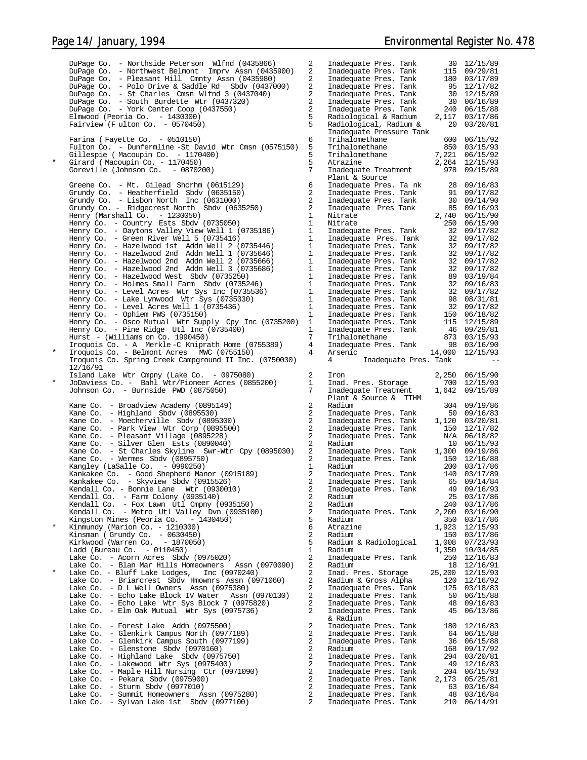DuPage Co. - Northside Peterson Wlfnd (0435866) 2 Inadequate Pres. Tank 30 12/15/89 DuPage Co. - Northwest Belmont Imprv Assn (0435900) 2 Inadequate Pres. Tank 115 09/29/81 DuPage Co. - Pleasant Hill Cmnty Assn (0435980) Inadequate Pres. Tank 180 03/17/89<br>DuPage Co. - Polo Drive & Saddle Rd Sbdv (0437000) Inadequate Pres. Tank 95 12/17/82<br> DuPage Co. - South Burdette Wtr (0437320) 2 Inadequate Pres. Tank 30 06/16/89<br>DuPage Co. - York Center Coop (0437550) 2 Inadequate Pres. Tank 240 06/15/88<br>Elmwood Inadequate Pressure Tank Farina ( Fayette Co. - 0510150) 6 Trihalomethane 600 06/15/92 Fulton Co. - Dunfermline -St David Wtr Cmsn (0575150) 5 Trihalomethane 850 03/15/93 Gillespie ( Macoupin Co. - 1170400) 5 Trihalomethane 7,221 06/15/92 \* Girard ( Macoupin Co. - 1170450) 5 Atrazine 2,264 12/15/93 Goreville (Johnson Co. - 1170450)<br>Goreville (Johnson Co. - 0870200) 7 Inadequate Treatment 978 09/15/89<br>Goreville (Johnson Co. - 0870200) 7 Inadequate Treatment 978 09/15/89 Plant & Source<br>Inadequate Pres. Ta nk<br>Inadequate Pres. Tank<br>Inadequate Pres Tank<br>Inadequate Pres Tank Greene Co. - Mt. Gilead Shcrhm (0615129) 6 Inadequate Pres. Ta nk 28 09/16/83<br>Grundy Co. - Heatherfield Sbdv (0635150) 2 Inadequate Pres. Tank 91 09/17/82<br>Grundy Co. - Lisbon North Inc (0631000) Henry (Marshall Co. - 1230050) 1 Nitrate 2,740 06/15/90 Henry Co. - Country Ests Sbdv (0735050) 1 Nitrate 250 06/15/90 Henry Co. - Daytons Valley View Well 1 (0735186) 1 Inadequate Pres. Tank 32 09/17/82<br>Henry Co. - Green River Well 5 (0735416) 1 Inadequate Pres. Tank 32 09/17/82 Henry Co. - Green River Well 5 (0735416) 1 Inadequate Pres. Tank 32 09/17/82 Henry Co. - Hazelwood 1st Addn Well 2 (0735446) 1 Inadequate Pres. Tank 32 09/17/82 Henry Co. - Hazelwood 2nd Addn Well 1 (0735646) 1<br>Henry Co. - Hazelwood 2nd Addn Well 2 (0735666) 1 Henry Co. - Hazelwood 2nd Addn Well 2 (0735666) 1 Inadequate Pres. Tank 32 09/17/82 Henry Co. - Hazelwood 2nd Addn Well 3 (0735686) 1<br>Henry Co. - Hazelwood West Sbdy (0735250) 1 Henry Co. - Hazelwood West Sbdv (0735250) 1 Inadequate Pres. Tank 89 03/19/84 Henry Co. - Holmes Small Farm Sbdv (0735246) 1 Inadequate Pres. Tank 32 09/16/83 Henry Co. - Level Acres Wtr Sys Inc (0735536) 1<br>Henry Co. - Lake Lynwood Wtr Sys (0735330) 1 Henry Co. - Lake Lynwood Wtr Sys (0735330) 1 1<br>Henry Co. - Level Acres Well 1 (0735436) 1 1 1 Henry Co. - Level Acres Well  $1$  (0735436) 1<br>Henry Co. - Ophiem PWS (0735150) 1 Henry Co. - Ophiem PWS (0735150) 1 Inadequate Pres. Tank 150 06/18/82 Henry Co. - Osco Mutual Wtr Supply Cpy Inc (0735200) 1 Inadequate Pres. Tank 115 12/15/89 Henry Co. - Pine Ridge Utl Inc (0735400) 1 Inadequate Pres. Tank 46 09/29/81 Hurst - (Williams on Co. 1990450) 7 Trihalomethane 873 03/15/93 Iroquois Co. - A Merkle -C Kniprath Home (0755389) 4<br>Iroquois Co. - Belmont Acres MWC (0755150) 4 \* Iroquois Co. - Belmont Acres MWC (0755150) 4 Arsenic 14,000 12/15/93 Iroquois Co. Spring Creek Campground II Inc. (0750030) 4 Inadequate Pres. Tank 12/16/91 Island Lake Wtr Cmpny (Lake Co. - 0975080) 2 Iron 2,250 06/15/90 \* JoDaviess Co. - Bahl Wtr/Pioneer Acres (0855200) 1 Inad. Pres. Storage 700 12/15/93 Johnson Co. - Burnside PWD (0875050) 7 Inadequate Treatment 1,642 09/15/89 Plant & Source & TTHM Kane Co. - Broadview Academy (0895149) 2 Radium 304 09/19/86 Kane Co. - Highland Sbdv (0895530) 2 Inadequate Pres. Tank 50 09/16/83 Kane Co. - Moecherville Sbdv (0895300) 2 Inadequate Pres. Tank 1,120 03/20/81 Kane Co. - Park View Wtr Corp (0895500) 2 Inadequate Pres. Tank 150 12/17/82 Kane Co. - Pleasant Village (0895228) 2 Inadequate Pres. Tank N/A 06/18/82 Kane Co. - Silver Glen Ests (0890040) 2 Radium 10 06/15/93<br>
Kane Co. - St Charles Skyline Swr-Wtr Coy (0895030) 2 Inadequate Pres. Tank 1,300 09/19/86 Kane Co. - St Charles Skyline Swr-Wtr Cpy (0895030) 2 Inadequate Pres. Tank 1,300 09/19/86 10 06/15/93<br>
2 Inadequate Pres. Tank 1,300 09/19/86<br>
20 Inadequate Pres. Tank 150 12/16/88<br>
150 12/17/86 Kangley (LaSalle Co. - 0990250)<br>Kankakee Co. - Good Shepherd Manor (0915189) 2 Inadequate Pres. Tank 140 03/17/89 Kankakee Co. - Good Shepherd Manor (0915189) 2 Inadequate Pres. Tank 140 03/17/89 Kankakee Co. - Skyview Sbdv (0915526) 2 Inadequate Pres. Tank 65 09/14/84 Kankakee Co. - Skyview Sbdv (0915526)<br>
Kendall Co. - Bonnie Lane Wtr (0930010) 2 Inadequate Pres. Tank 49 09/14/84<br>
Kendall Co. - Farm Colony (0935140) 2 Radium 25 03/17/86 Kendall Co. - Farm Colony (0935140) 2 Radium 25 03/17/86 Kendall Co. - Fox Lawn Utl Cmpny (0935150) 2 Radium 240 03/17/86 Kendall Co. - Metro Utl Valley Dvn (0935100) 2 Inadequate Pres. Tank 2,200 03/16/90 Kingston Mines (Peoria Co. - 1430450) 5 Radium 350 03/17/86 \* Kinmundy (Marion Co. - 1210300) 6 Atrazine 1,923 12/15/93 Kinsman ( Grundy Co. - 0630450) 2 Radium 150 03/17/86 Kirkwood (Warren Co. - 1870050) 5 Radium & Radiological 1,008 07/23/93 Ladd (Bureau Co. - 0110450)<br>
Lake Co. - Acorn Acres Sbdv (0975020) 1.350 10/04/85 Lake Co. - Acorn Acres Sbdv (0975020) 2 Inadequate Pres. Tank 250 12/16/83 Lake Co. - Blan Mar Hills Homeowners Assn (0970090) 2 Radium 18 12/16/91 Lake Co. - Bluff Lake Lodges, Inc (0970240) 2 Inad. Pres. Storage 25,200 12/15/93<br>
Lake Co. - Briarcrest Sbdv Hmownrs Assn (0971060) 2 Radium & Gross Alpha 120 12/16/92<br>
Lake Co. - Di Well Owners Assn (0975380) 2 Inadequat Lake Co. - Briarcrest Sbdv Hmownrs Assn (0971060) 2 Radium & Gross Alpha 120 12/16/92 Lake Co. - D L Well Owners Assn (0975380) 2 Inadequate Pres. Tank 125 03/18/83<br>
Lake Co. - Echo Lake Block IV Water Assn (0970130) 2 Inadequate Pres. Tank 50 06/15/88<br>
Lake Co. - Echo Lake Wir Sys Block 7 (0975820) 2 Inade Lake Co. - Echo Lake Block IV Water Assn (0970130) 2 Inadequate Pres. Tank 50 06/15/88 Lake Co. - Echo Lake Wtr Sys Block 7 (0975820) 2 Inadequate Pres. Tank 48 09/16/83 Lake Co. - Elm Oak Mutual Wtr Sys (0975736) 2 Inadequate Pres. Tank 45 06/13/86 & Radium Lake Co. - Forest Lake Addn (0975500) 2 Inadequate Pres. Tank 180 12/16/83 Lake Co. - Glenkirk Campus North (0977189) 2<br>
Lake Co. - Glenkirk Campus South (0977199) 2 Lake Co. - Glenkirk Campus South (0977199) 2 Inadequate Pres. Tank 36 06/15/88 Lake Co. - Glenstone Sbdv (0970160) 2 Radium 168 09/17/92 Lake Co. - Highland Lake Sbdv (0975750) 2 Inadequate Pres. Tank 294 03/20/81 Lake Co. - Lakewood Wtr Sys (0975400) 2 Inadequate Pres. Tank 49 12/16/83 Lake Co. - Maple Hill Nursing Ctr (0971090) 2<br>Lake Co. - Pekara Sbdy (0975900) 2 Lake Co. - Pekara Sbdv (0975900) 2 Inadequate Pres. Tank 2,173 05/25/81 Lake Co. - Sturm Sbdv (0977010) 2 Inadequate Pres. Tank 63 03/16/84 Lake Co. - Summit Homeowners Assn (0975280) 2 Inadequate Pres. Tank 48 03/16/84 Lake Co. - Sylvan Lake 1st Sbdv (0977100) 2 Inadequate Pres. Tank 210 06/14/91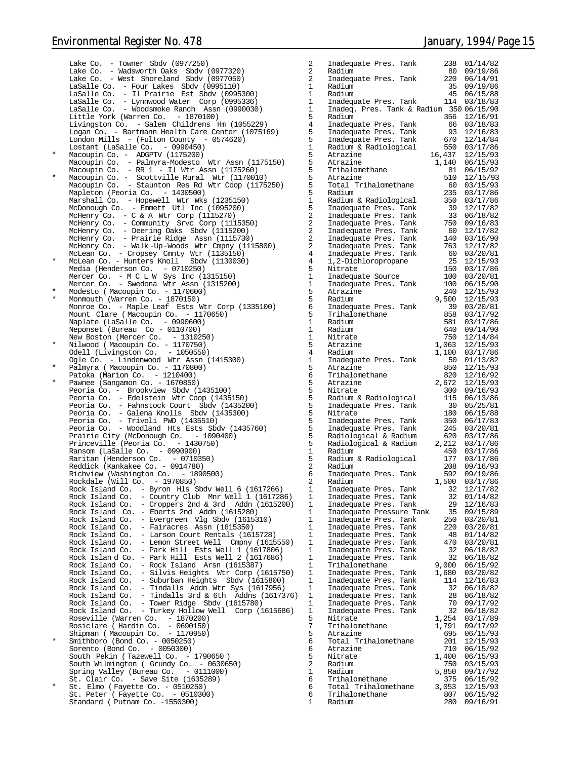Lake Co. - Towner Sbdv (0977250) Lake Co. - Wadsworth Oaks Sbdv (0977320)<br>Lake Co. - West Shoreland Sbdv (0977050) - West Shoreland Sbdv (0977050)  $Lasalle Co. - Four Lakes Sbdv (0995110)$ LaSalle Co. - Il Prairie Est Sbdv (0995300) 1 Radium 45 06/15/88<br>LaSalle Co. - Lynnwood Water Corp (0995336) 1 Inadequate Pres. Tank 114 03/18/83 Little York (Warren Co. - 1870100) 5 Radium 356 12/16/91 Livingston Co. - Salem Childrens Hm (1055229) 4 Inadequate Pres. Tank 66 03/18/83 Logan Co. - Bartmann Health Care Center (1075169) London Mills - (Fulton County - 0574620) Lostant (LaSalle Co. - 0990450)<br>Macoupin Co. - ADGPTV (1175200) Macoupin Co. - ADGPTV (1175200) 5 Atrazine 16,437 12/15/93<br>
Macoupin Co. - Palmyra-Modesto Wtr Assn (1175150) 5 Atrazine 1,140 06/15/93<br>
Macoupin Co. - RR 1 - Il Wtr Assn (1175260) 5 Trihalomethane 810 6/15/93<br>
Macoupin Co Mapleton (Peoria Co. - 1430500) Marshall Co. - Hopewell Wtr Wks (1235150) 1 Radium & Radiological 350 03/17/86 McDonough Co. - Emmett Utl Inc (1095200) 5 Inadequate Pres. Tank 39 12/17/82 McHenry Co. - C & A Wtr Corp (1115270) 2 Inadequate Pres. Tank 33 06/18/82 McHenry Co. - Community Srvc Corp (1115350) 2 Inadequate Pres. Tank 750 09/16/83 McHenry Co. - Deering Oaks Sbdv (1115200) McHenry Co. - Prairie Ridge Assn (1115730) 2 Inadequate Pres. Tank 140 03/16/90 McHenry Co. - Walk -Up-Woods Wtr Cmpny (1115800) 2 Inadequate Pres. Tank 763 12/17/82 McLean Co. - Cropsey Cmnty Wtr (1135150) 4 Inadequate Pres. Tank 60 03/20/81 \* McLean Co. - Hunters Knoll Sbdv (1130030) 4 1,2-Dichloropropane 25 12/15/93 Media (Henderson Co. - 0710250) 5 Nitrate 150 03/17/86 Mercer Co. - M C L W Sys Inc (1315150) 1 Inadequate Source 100 03/20/81 Mercer Co. - Swedona Wtr Assn (1315200)  $Modelo$  ( Macoupin Co. - 1170600)  $Monnouth (Warren Co. - 1870150)$ Monroe Co. - Maple Leaf Ests Wtr Corp (1335100) Mount Clare ( Macoupin Co. - 1170650) Naplate (LaSalle Co. - 0990600) 1 Radium 581 03/17/86 Neponset (Bureau Co - 0110700) 1 Radium 640 09/14/90 New Boston (Mercer Co. - 1310250) 1 1 Nitrate 1,063 12/14/84<br>1,063 12/15/93 13/15/93 11/0750) 5 Atrazine 1,100 12/15/93<br>2,100 03/17/86 1,100 03/17/86 Ogle Co. - Lindenwood Wtr Assn (1415300)  $P\overline{a}$ lmyra ( Macoupin Co. - 1170800) Patoka (Marion Co. - 1210400) 6 Trihalomethane 820 12/16/92 \* Pawnee (Sangamon Co. - 1670850) 5 Atrazine 2,672 12/15/93 Peoria Co. - Brookview Sbdv (1435100) 5 Nitrate 300 09/16/93 Peoria Co. - Edelstein Wtr Coop (1435150) 5 Radium & Radiological 115 06/13/86 Peoria Co. - Fahnstock Court Sbdv (1435200) 5 Inadequate Pres. Tank 30 05/25/81 Peoria Co. - Galena Knolls Sbdv (1435300) 5 Nitrate 180 06/15/88 Peoria Co. - Trivoli PWD (1435510) 5 Inadequate Pres. Tank 350 06/17/83 Peoria Co. - Woodland Hts Ests Sbdv (1435760) 5 Inadequate Pres. Tank 245 03/20/81 Prairie City (McDonough Co. - 1090400) 5 Radiological & Radium 620 03/17/86 Princeville (Peoria Co. - 1430750) 5 Radiological & Radium 2,212 03/17/86 Ransom (LaSalle Co. - 0990900) Raritan (Henderson Co. - 0710350) Reddick (Kankakee Co. - 0914780)<br>Richview (Washington Co. - 1890500) Richview (Washington Co. Rockdale (Will Co. - 1970850) Rock Island Co. – Byron Hls Sbdv Well 6 (1617266) 1 Inadequate Pres. Tank 32 12/17/82<br>Rock Island Co. – Country Club Mnr Well 1 (1617286) 1 Inadequate Pres. Tank 32 01/14/82<br>Rock Island Co. – Cropper Rock Island Co. – Eberts 2nd Addn (1615280) Inadequate Pressure Tank 35 09/15/89<br>Rock Island Co. – Evergreen Vlg Sbdv (1615310) 1 Inadequate Pres. Tank 250 03/20/81 Rock Island Co. - Fairacres Assn (1615350) 1 Inadequate Pres. Tank 220 03/20/81 Rock Island Co. - Larson Court Rentals (1615728) 1 Inadequate Pres. Tank 48 01/14/82 Rock Island Co. - Lemon Street Well Cmpny (1615550) Rock Island Co. - Park Hill Ests Well 1 (1617806) 1 Inadequate Pres. Tank 32 06/18/82 Rock Islan d Co. - Park Hill Ests Well 2 (1617686) 1 Inadequate Pres. Tank 32 06/18/82 Rock Island Co. - Rock Island Arsn (1615387)<br>Rock Island Co. - Silvis Heights Wtr Corp (1 - Silvis Heights Wtr Corp (1615750) Rock Island Co. - Suburban Heights  $Sbdv$  (1615800) Rock Island Co. - Tindalls Addn Wtr Sys (1617956) Rock Island Co. - Tindalls 3rd  $\&$  6th Addns (1617376) Rock Island Co. - Tower Ridge Sbdv (1615780) Rock Island Co. - Turkey Hollow Well Corp (1615686) Roseville (Warren Co. - 1870200) 5 Nitrate 1,254 03/17/89 Rosiclare ( Hardin Co. - 0690150) 7 Trihalomethane 1,791 09/17/92 Shipman ( Macoupin Co. - 1170950)<br>
\* Smithboro (Bond Co. - 0050250)<br>
Sorento (Bond Co. - 0050300) 6 Atrazine 710 06/15/92 South Pekin ( Tazewell Co.  $-1790650$  ) South Wilmington ( Grundy Co. - 0630650) Spring Valley (Bureau Co. - 0111000) 1<br>St. Clair Co. - Save Site (1635289) 1  $\overline{\text{st}}$ . Clair Co. - Save Site (1635289) \* St. Elmo ( Fayette Co. - 0510250) 6 Total Trihalomethane 3,053 12/15/93 St. Peter ( Fayette Co. - 0510300) 6 Trihalomethane 807 06/15/92 Standard ( Putnam Co. -1550300) 1 Radium 280 09/16/91

| 2                                                                          | Inadequate Pres.<br>Tank                                                |                 | 238        | 01/14/82             |
|----------------------------------------------------------------------------|-------------------------------------------------------------------------|-----------------|------------|----------------------|
| $\overline{a}$<br>2                                                        | Radium<br>Inadequate Pres.<br>Tank                                      |                 | 80<br>220  | 09/19/86<br>06/14/91 |
|                                                                            | Radium                                                                  |                 | 35         | 09/19/86             |
|                                                                            | Radium                                                                  |                 | 45         | 06/15/88             |
| -<br>5<br>5                                                                | Inadequate Pres.<br>Tank<br>Tank & Radium 350 06/15/90<br>Inadeg. Pres. |                 | 114        | 03/18/83             |
|                                                                            | Radium                                                                  |                 | 356        | 12/16/91             |
| į                                                                          | Inadequate Pres.<br>Tank                                                |                 | 66<br>93   | 03/18/83<br>12/16/83 |
| 5<br>5<br>D                                                                | Inadequate Pres.<br>Tank<br>Inadequate Pres.<br>Tank                    |                 | 670        | 12/14/84             |
|                                                                            | Radium & Radiological                                                   |                 | 550        | 03/17/86             |
|                                                                            | Atrazine<br>Atrazine                                                    | 16,437<br>1,140 |            | 12/15/93<br>06/15/93 |
|                                                                            | Trihalomethane                                                          |                 | 81         | 06/15/92             |
|                                                                            | Atrazine                                                                |                 | 510        | 12/15/93             |
|                                                                            | Total Trihalomethane<br>Radium                                          |                 | 60<br>235  | 03/15/93<br>03/17/86 |
|                                                                            | Radium & Radiological                                                   |                 | 350        | 03/17/86             |
| <br> <br> 2<br> <br> <br>                                                  | Inadequate Pres. Tank                                                   |                 | 39         | 12/17/82             |
|                                                                            | Inadequate Pres.<br>Tank<br>Inadequate Pres.<br>Tank                    |                 | 33<br>750  | 06/18/82<br>09/16/83 |
|                                                                            | Tank<br>Inadequate Pres.                                                |                 | 60         | 12/17/82             |
| $\overline{ }$                                                             | Inadequate Pres.<br>Tank                                                |                 | 140        | 03/16/90             |
| )<br>                                                                      | Inadequate Pres.<br>Tank<br>Inadequate Pres.<br>Tank                    |                 | 763<br>60  | 12/17/82<br>03/20/81 |
|                                                                            | 1,2-Dichloropropane                                                     |                 | 25         | 12/15/93             |
| 5                                                                          | Nitrate                                                                 |                 | 150        | 03/17/86             |
| <br> <br> <br> <br> <br> <br> <br><br><br><br><br>                         | Inadequate Source<br>Inadequate Pres.<br>Tank                           |                 | 100<br>100 | 03/20/81<br>06/15/90 |
|                                                                            | Atrazine                                                                |                 | 240        | 12/15/93             |
|                                                                            | Radium                                                                  | 9,500           | 39         | 12/15/93             |
|                                                                            | Inadequate Pres.<br>Tank<br>Trihalomethane                              |                 | 858        | 03/20/81<br>03/17/92 |
|                                                                            | Radium                                                                  |                 | 581        | 03/17/86             |
| $\begin{array}{c} \n\text{-} \\ \n\text{-} \\ \n\text{-} \\ \n\end{array}$ | Radium<br>Nitrate                                                       |                 | 640<br>750 | 09/14/90<br>12/14/84 |
|                                                                            | Atrazine                                                                | 1,063           |            | 12/15/93             |
| Į                                                                          | Radium                                                                  | 1,100           |            | 03/17/86             |
|                                                                            | Inadequate Pres.<br>Tank<br>Atrazine                                    |                 | 50<br>850  | 01/13/82<br>12/15/93 |
|                                                                            | Trihalomethane                                                          |                 | 820        | 12/16/92             |
|                                                                            | Atrazine                                                                | 2,672           |            | 12/15/93             |
|                                                                            | Nitrate<br>Radium & Radiological                                        |                 | 300<br>115 | 09/16/93<br>06/13/86 |
|                                                                            | Inadequate Pres. Tank                                                   |                 | 30         | 05/25/81             |
|                                                                            | Nitrate                                                                 |                 | 180<br>350 | 06/15/88             |
|                                                                            | Inadequate Pres.<br>Tank<br>Inadequate Pres.<br>Tank                    |                 | 245        | 06/17/83<br>03/20/81 |
|                                                                            | Radiological & Radium                                                   |                 | 620        | 03/17/86             |
|                                                                            | Radiological & Radium<br>Radium                                         | 2,212           | 450        | 03/17/86<br>03/17/86 |
| $\frac{1}{2}$                                                              | Radium & Radiological                                                   |                 | 177        | 03/17/86             |
|                                                                            | Radium                                                                  |                 | 208        | 09/16/93             |
| 5<br>ì                                                                     | Inadequate Pres.<br>Tank<br>Radium                                      | 1,500           | 592        | 09/19/86<br>03/17/86 |
|                                                                            | Inadequate Pres.<br>Tank                                                |                 | 32         | 12/17/82             |
|                                                                            | Inadequate Pres.<br>Tank<br>Inadequate Pres.<br>Tank                    |                 | 32<br>29   | 01/14/82<br>12/16/83 |
| $\begin{array}{c} \n\vdots \\ \vdots \\ \vdots\n\end{array}$               | Inadequate Pressure Tank                                                |                 | 35         | 09/15/89             |
|                                                                            | Inadequate Pres.<br>Tank                                                |                 | 250        | 03/20/81             |
| <br> -<br> -<br> -<br> -<br> <br>                                          | Inadequate Pres.<br>Tank<br>Inadequate Pres.<br>Tank                    |                 | 220<br>48  | 03/20/81<br>01/14/82 |
|                                                                            | Inadequate Pres.<br>Tank                                                |                 | 470        | 03/20/81             |
|                                                                            | Inadequate Pres.<br>Tank                                                |                 | 32         | 06/18/82             |
|                                                                            | Inadequate Pres.<br>Tank<br>Trihalomethane                              | 9,000           | 32         | 06/18/82<br>06/15/92 |
|                                                                            | Inadequate Pres.<br>Tank                                                | 1,680           |            | 03/20/82             |
|                                                                            | Inadequate Pres.<br>Tank                                                |                 | 114        | 12/16/83             |
|                                                                            | Inadequate Pres.<br>Tank<br>Inadequate Pres.<br>Tank                    |                 | 32<br>28   | 06/18/82<br>06/18/82 |
|                                                                            | Inadequate Pres.<br>Tank                                                |                 | 70         | 09/17/92             |
|                                                                            | Inadequate Pres.<br>Tank                                                |                 | 32         | 06/18/82             |
|                                                                            | Nitrate<br>Trihalomethane                                               | 1,254<br>1,791  |            | 03/17/89<br>09/17/92 |
| フランシン                                                                      | Atrazine                                                                |                 | 695        | 06/15/93             |
|                                                                            | Total Trihalomethane                                                    |                 | 201<br>710 | 12/15/93             |
|                                                                            | Atrazine<br>Nitrate                                                     | 1,400           |            | 06/15/92<br>06/15/93 |
| $\overline{ }$                                                             | Radium                                                                  |                 | 750        | 03/15/93             |
| $\frac{1}{2}$                                                              | Radium<br>Trihalomethane                                                | 5,850           | 375        | 09/17/92<br>06/15/92 |
|                                                                            | Total Trihalomethane                                                    | 3,053           |            | 12/15/93             |
| 5                                                                          | Trihalomethane<br>Radium                                                |                 | 807<br>280 | 06/15/92<br>09/16/91 |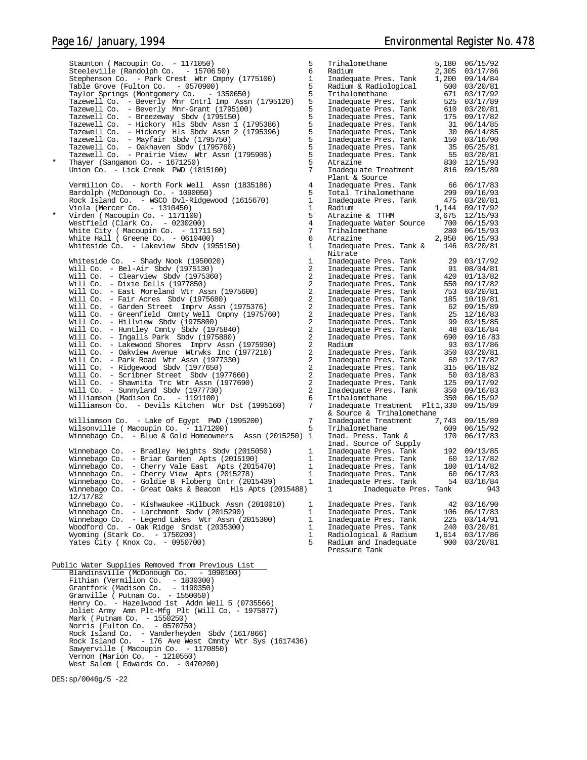|         | Staunton (Macoupin Co. - 1171050)                                                              | 5                              | Trihalomethane                                                                                                                                                                                          |                | 5,180 06/15/92               |
|---------|------------------------------------------------------------------------------------------------|--------------------------------|---------------------------------------------------------------------------------------------------------------------------------------------------------------------------------------------------------|----------------|------------------------------|
|         | Steeleville (Randolph Co. - 15706 50)<br>Stephenson Co. - Park Crest Wtr Cmpny (1775100)       | 6<br>$\mathbf{1}$              | Radium<br>Inadequate Pres. Tank                                                                                                                                                                         | 2,305<br>1,200 | 03/17/86<br>09/14/84         |
|         | Table Grove (Fulton Co. - 0570900)                                                             | 5                              | Radium & Radiological                                                                                                                                                                                   |                | 500 03/20/81                 |
|         | Taylor Springs (Montgomery Co. - 1350650)                                                      | 5                              | Trihalomethane                                                                                                                                                                                          |                | 671 03/17/92                 |
|         | Tazewell Co. - Beverly Mnr Cntrl Imp Assn (1795120)                                            | 5                              | Trinalomethane<br>Inadequate Pres. Tank<br>Inadequate Pres. Tank<br>Inadequate Pres. Tank<br>Inadequate Pres. Tank<br>Inadequate Pres. Tank<br>Inadequate Pres. Tank<br>Tradequate Pres. Tank           |                | 525 03/17/89                 |
|         | Tazewell Co. - Beverly Mnr-Grant (1795100)                                                     | 5<br>5                         |                                                                                                                                                                                                         |                | 610 03/20/81<br>175 09/17/82 |
|         | Tazewell Co. - Breezeway Sbdv (1795150)<br>Tazewell Co. - Hickory Hls Sbdv Assn 1 (1795386)    | 5                              |                                                                                                                                                                                                         |                | 31 06/14/85                  |
|         | Tazewell Co. - Hickory Hls Sbdv Assn 2 (1795396)                                               | 5                              |                                                                                                                                                                                                         |                | 30 06/14/85                  |
|         | Tazewell Co. - Mayfair Sbdv (1795750)                                                          | 5                              |                                                                                                                                                                                                         |                | 150 03/16/90                 |
|         | Tazewell Co. - Oakhaven Sbdv (1795760)                                                         | 5                              | Inadequate Pres. Tank                                                                                                                                                                                   |                | 35 05/25/81                  |
| $\star$ | Tazewell Co. - Prairie View Wtr Assn (1795900)                                                 | 5                              | Inadequate Pres. Tank                                                                                                                                                                                   |                | 55 03/20/81                  |
|         | Thayer (Sangamon Co. - 1671250)<br>Union Co. - Lick Creek PWD (1815100)                        | 5<br>7                         | Atrazine<br>Inadequate Treatment                                                                                                                                                                        |                | 830 12/15/93<br>816 09/15/89 |
|         |                                                                                                |                                | Plant & Source                                                                                                                                                                                          |                |                              |
|         | Vermilion Co. - North Fork Well Assn (1835186)                                                 | $\overline{4}$                 | Inadequate Pres. Tank                                                                                                                                                                                   |                | 66 06/17/83                  |
|         | Bardolph (McDonough Co. - 1090050)                                                             | 5                              | Total Trihalomethane                                                                                                                                                                                    |                | 299 09/16/93                 |
|         | Rock Island Co. - WSCO Dvl-Ridgewood (1615670)                                                 | $\mathbf{1}$                   | Inadequate Pres. Tank                                                                                                                                                                                   |                | 475 03/20/81                 |
| $\star$ | Viola (Mercer Co. $-1310450$ )                                                                 | $\mathbf{1}$<br>5              | Radium<br>Atrazine & TTHM                                                                                                                                                                               | 3,675          | 1,144 09/17/92<br>12/15/93   |
|         | Virden (Macoupin Co. - 1171100)<br>Westfield (Clark Co. - 0230200)                             | $\overline{4}$                 | Inadequate Water Source                                                                                                                                                                                 |                | 700 06/15/93                 |
|         | White City ( Macoupin Co. $-1171150$ )                                                         | 7                              | Trihalomethane                                                                                                                                                                                          |                | 280 06/15/93                 |
|         | White Hall ( Greene Co. - $0610400$ )                                                          | 6                              | Atrazine                                                                                                                                                                                                | 2,950          | 06/15/93                     |
|         | Whiteside Co. - Lakeview Sbdv (1955150)                                                        | $\mathbf{1}$                   | Inadequate Pres. Tank &                                                                                                                                                                                 | 146            | 03/20/81                     |
|         |                                                                                                |                                | Nitrate                                                                                                                                                                                                 |                |                              |
|         | Whiteside Co. - Shady Nook (1950020)<br>Will Co. - Bel-Air Sbdv (1975130)                      | $\mathbf{1}$<br>$\overline{2}$ | Inadequate Pres. Tank<br>Inadequate Pres. Tank                                                                                                                                                          |                | 29 03/17/92<br>91 08/04/81   |
|         | Will Co. - Clearview Sbdv (1975360)                                                            | 2                              |                                                                                                                                                                                                         |                | 420 01/13/82                 |
|         | Will Co. - Dixie Dells $(1977850)$                                                             | $\overline{a}$                 | Inadequate Pres. Tank<br>Inadequate Pres. Tank                                                                                                                                                          |                | 550 09/17/82                 |
|         | Will Co. - East Moreland Wtr Assn (1975600)                                                    | $\overline{a}$                 | Inadequate Pres. Tank                                                                                                                                                                                   |                | 753 03/20/81                 |
|         | Will Co. - Fair Acres Sbdv (1975680)                                                           | 2                              | Inadequate Pres. Tank<br>Inadequate Pres. Tank                                                                                                                                                          |                | 185 10/19/81                 |
|         | Will Co. - Garden Street Imprv Assn (1975376)                                                  | 2<br>2                         | Inadequate Pres. Tank                                                                                                                                                                                   |                | 62 09/15/89<br>25 12/16/83   |
|         | Will Co. - Greenfield Cmnty Well Cmpny (1975760)<br>Will Co. - Hillview Sbdv (1975800)         | 2                              | Inadequate Pres. Tank                                                                                                                                                                                   |                | 99 03/15/85                  |
|         | Will Co. - Huntley Cmnty Sbdv (1975840)                                                        | 2                              | Inadequate Pres. Tank                                                                                                                                                                                   |                | 48 03/16/84                  |
|         | Will Co. - Ingalls Park Sbdy (1975880)                                                         | 2                              | Inadequate Pres. Tank                                                                                                                                                                                   |                | 690 09/16/83                 |
|         | Will Co. - Lakewood Shores Imprv Assn (1975930)                                                | 2                              | Radium                                                                                                                                                                                                  |                | 93 03/17/86                  |
|         | Will Co. - Oakview Avenue Wtrwks Inc (1977210)                                                 | 2                              | Inadequate Pres. Tank                                                                                                                                                                                   |                | 350 03/20/81                 |
|         | Will Co. - Park Road Wtr Assn (1977330)<br>Will Co. - Ridgewood Sbdv (1977650)                 | 2<br>2                         | Inadequate Pres. Tank<br>Inadequate Pres. Tank                                                                                                                                                          | 315            | 60 12/17/82<br>06/18/82      |
|         | Will Co. - Scribner Street Sbdv (1977660)                                                      | 2                              |                                                                                                                                                                                                         |                | 50 03/18/83                  |
|         | Will Co. - Shawnita Trc Wtr Assn (1977690)                                                     | 2                              |                                                                                                                                                                                                         |                | 125 09/17/92                 |
|         | Will $Co. - Sumyland Sbdv (1977730)$                                                           | 2                              | Inadequate Pres. Tank<br>Inadequate Pres. Tank<br>Inadequate Pres. Tank                                                                                                                                 |                | 350 09/16/83                 |
|         | Williamson (Madison Co. - 1191100)                                                             | 6                              | Trihalomethane                                                                                                                                                                                          |                | 350 06/15/92                 |
|         | Williamson Co. - Devils Kitchen Wtr Dst (1995160)                                              | 7                              | Inadequate Treatment Plt1,330                                                                                                                                                                           |                | 09/15/89                     |
|         | Williamson Co. - Lake of Egypt PWD (1995200)                                                   | 7                              | & Source & Trihalomethane<br>Inadequate Treatment                                                                                                                                                       |                | 7,743 09/15/89               |
|         | Wilsonville ( Macoupin Co. - 1171200)                                                          | 5                              | Trihalomethane                                                                                                                                                                                          | 609            | 06/15/92                     |
|         | Winnebago Co. - Blue & Gold Homeowners Assn (2015250) 1                                        |                                | Inad. Press. Tank &                                                                                                                                                                                     | 170            | 06/17/83                     |
|         |                                                                                                |                                | Inad. Source of Supply                                                                                                                                                                                  |                |                              |
|         | Winnebago Co. - Bradley Heights Sbdy (2015050)                                                 | $\mathbf{1}$                   |                                                                                                                                                                                                         |                |                              |
|         | Winnebago Co. - Briar Garden Apts (2015190)<br>Winnebago Co. - Cherry Vale East Apts (2015470) | $\mathbf{1}$<br>$\mathbf{1}$   |                                                                                                                                                                                                         |                |                              |
|         | Winnebago Co. - Cherry View Apts (2015278)                                                     | $\mathbf{1}$                   |                                                                                                                                                                                                         |                |                              |
|         | Winnebago Co. - Goldie B Floberg Cntr (2015439)                                                | $\mathbf{1}$                   | 192 09/13/85<br>Inadequate Pres. Tank 192 09/13/85<br>Inadequate Pres. Tank 60 12/17/82<br>Inadequate Pres. Tank 180 01/14/82<br>Inadequate Pres. Tank 60 06/17/83<br>Inadequate Pres. Tank 54 03/16/84 |                |                              |
|         | Winnebago Co. - Great Oaks & Beacon Hls Apts (2015488)                                         |                                | 1 Inadequate Pres. Tank 943                                                                                                                                                                             |                |                              |
|         | 12/17/82                                                                                       |                                |                                                                                                                                                                                                         |                |                              |
|         | Winnebago Co. - Kishwaukee -Kilbuck Assn (2010010)<br>Winnebago Co. - Larchmont Sbdy (2015290) | 1<br>$\mathbf{1}$              | Inadequate Pres. Tank                                                                                                                                                                                   |                | 42 03/16/90                  |
|         | Winnebago Co. - Legend Lakes Wtr Assn (2015300)                                                | $\mathbf{1}$                   | Inadequate Pres. Tank<br>Inadequate Pres. Tank                                                                                                                                                          |                | 106 06/17/83<br>225 03/14/91 |
|         | Woodford Co. - Oak Ridge Sndst (2035300)                                                       | $\mathbf{1}$                   | Inadequate Pres. Tank                                                                                                                                                                                   |                | 240 03/20/81                 |
|         | Wyoming (Stark Co. - 1750200)                                                                  | 1                              | Radiological & Radium                                                                                                                                                                                   |                | 1,614 03/17/86               |
|         | Yates City (Knox Co. - 0950700)                                                                | 5                              | Radium and Inadequate                                                                                                                                                                                   |                | 900 03/20/81                 |
|         |                                                                                                |                                | Pressure Tank                                                                                                                                                                                           |                |                              |
|         | Public Water Supplies Removed from Previous List                                               |                                |                                                                                                                                                                                                         |                |                              |
|         | Blandinsville (McDonough Co. - 1090100)                                                        |                                |                                                                                                                                                                                                         |                |                              |
|         | Fithian (Vermilion Co. - 1830300)                                                              |                                |                                                                                                                                                                                                         |                |                              |
|         | Grantfork (Madison Co. - 1190350)                                                              |                                |                                                                                                                                                                                                         |                |                              |
|         | Granville ( Putnam Co. - 1550050)                                                              |                                |                                                                                                                                                                                                         |                |                              |
|         | Henry Co. - Hazelwood 1st Addn Well 5 (0735566)                                                |                                |                                                                                                                                                                                                         |                |                              |
|         | Joliet Army Amn Plt-Mfg Plt (Will Co. - 1975877)                                               |                                |                                                                                                                                                                                                         |                |                              |
|         | Mark (Putnam Co. - 1550250)<br>Norris (Fulton Co. - 0570750)                                   |                                |                                                                                                                                                                                                         |                |                              |
|         | Rock Island Co. - Vanderheyden Sbdv (1617866)                                                  |                                |                                                                                                                                                                                                         |                |                              |
|         | Rock Island Co. - 176 Ave West Cmnty Wtr Sys (1617436)                                         |                                |                                                                                                                                                                                                         |                |                              |
|         | Sawyerville ( Macoupin Co. - 1170850)                                                          |                                |                                                                                                                                                                                                         |                |                              |
|         | Vernon (Marion Co. $-1210550$ )                                                                |                                |                                                                                                                                                                                                         |                |                              |
|         | West Salem (Edwards Co. - 0470200)                                                             |                                |                                                                                                                                                                                                         |                |                              |

DES:sp/0046g/5 -22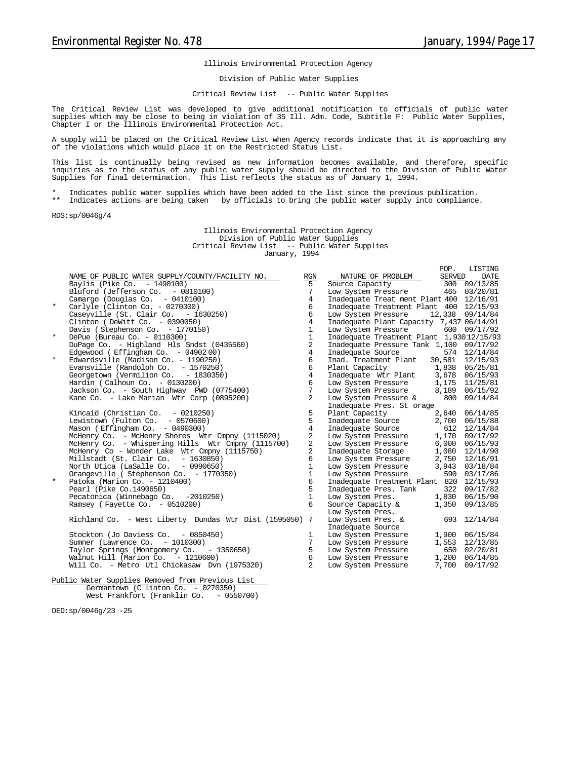#### Illinois Environmental Protection Agency

Division of Public Water Supplies

#### Critical Review List -- Public Water Supplies

The Critical Review List was developed to give additional notification to officials of public water supplies which may be close to being in violation of 35 Ill. Adm. Code, Subtitle F: Public Water Supplies, Chapter I or the Illinois Environmental Protection Act.

A supply will be placed on the Critical Review List when Agency records indicate that it is approaching any of the violations which would place it on the Restricted Status List.

This list is continually being revised as new information becomes available, and therefore, specific inquiries as to the status of any public water supply should be directed to the Division of Public Water Supplies for final determination. This list reflects the status as of January 1, 1994.

\* Indicates public water supplies which have been added to the list since the previous publication.<br>\*\* Indicates actions are being taken, by officials to bring the public water supply into compliance

Indicates actions are being taken by officials to bring the public water supply into compliance.

RDS:sp/0046g/4

Illinois Environmental Protection Agency Division of Public Water Supplies Critical Review List -- Public Water Supplies January, 1994

|         |                                                                                                                                             |                 |                                                                                                                                                                                                   | POP.          | LISTING                |
|---------|---------------------------------------------------------------------------------------------------------------------------------------------|-----------------|---------------------------------------------------------------------------------------------------------------------------------------------------------------------------------------------------|---------------|------------------------|
|         | NAME OF PUBLIC WATER SUPPLY/COUNTY/FACILITY NO.                                                                                             | RGN             | NATURE OF PROBLEM                                                                                                                                                                                 | <b>SERVED</b> | DATE                   |
|         | Baylis (Pike Co. - 1490100)                                                                                                                 | $5^{-}$         | Source Capacity                                                                                                                                                                                   |               | $\frac{300}{09/13/85}$ |
|         | Bluford (Jefferson Co. - 0810100)                                                                                                           | 7               | Low System Pressure 465 03/20/81                                                                                                                                                                  |               |                        |
|         | Camargo (Douglas Co. $-0410100$ )                                                                                                           | $\overline{4}$  | Inadequate Treat ment Plant 400 12/16/91                                                                                                                                                          |               |                        |
| $\star$ | Carlyle (Clinton Co. - $0270300$ )                                                                                                          | 6               | Inadequate Treatment Plant 400 12/15/93                                                                                                                                                           |               |                        |
|         | Carlyle (Clinton Co. - 0270300)<br>Caseyville (St. Clair Co.  – 1630250)                                                                    | 6               | Low System Pressure 12,338 09/14/84                                                                                                                                                               |               |                        |
|         | Clinton (DeWitt Co. - 0390050)                                                                                                              | $\overline{4}$  | Inadequate Plant Capacity 7,437 06/14/91                                                                                                                                                          |               |                        |
|         | Davis (Stephenson Co. - 1770150)                                                                                                            | $\mathbf{1}$    | Low System Pressure 600 09/17/92                                                                                                                                                                  |               |                        |
| $\star$ | DePue (Bureau Co. - 0110300)                                                                                                                | $\mathbf{1}$    | Inadequate Treatment Plant 1,93012/15/93                                                                                                                                                          |               |                        |
|         | DuPage Co. - Highland Hls Sndst (0435560)                                                                                                   | 2               | Inadequate Pressure Tank 1,100 09/17/92                                                                                                                                                           |               |                        |
|         | Edgewood (Effingham Co. $-0490200$ )                                                                                                        | $\overline{4}$  |                                                                                                                                                                                                   |               |                        |
| $\star$ | Edgewood (Effingham Co. - 0490200)<br>Edwardsville (Madison Co. - 1190250)<br>Evansville (Randolph Co. - 1570250)                           | 6               | Inadequate Source 574 12/14/84<br>Inad. Treatment Plant 30,581 12/15/93                                                                                                                           |               |                        |
|         | Evansville (Randolph Co. - 1970200)<br>Georgetown (Vermilion Co. - 1830350)                                                                 | 6               | Plant Capacity 1,838 05/25/81                                                                                                                                                                     |               |                        |
|         |                                                                                                                                             | $\overline{4}$  | Inadequate Wir Plant 3,678 06/15/93                                                                                                                                                               |               |                        |
|         | Hardin (Calhoun Co. $-0130200$ )                                                                                                            | 6               | $\begin{tabular}{lllllllll} \textsc{Low System Pressure} & 1,175 & 11/25/81 \\ \textsc{Low System Pressure} & 8,189 & 06/15/92 \\ \textsc{Low System Pressure} & 800 & 09/14/84 \\ \end{tabular}$ |               |                        |
|         | Jackson Co. - South Highway PWD (0775400)                                                                                                   | $7\overline{ }$ |                                                                                                                                                                                                   |               |                        |
|         | Kane Co. - Lake Marian Wtr Corp (0895200)                                                                                                   | $\overline{2}$  |                                                                                                                                                                                                   |               |                        |
|         |                                                                                                                                             |                 | Inadequate Pres. St orage                                                                                                                                                                         |               |                        |
|         | Kincaid (Christian Co. $-0210250$ )                                                                                                         | 5               | Plant Capacity<br>12,640 06/14/85<br>Inadequate Source<br>2,700 06/15/88<br>Inadequate Source<br>512 12/14/84                                                                                     |               |                        |
|         | Lewistown (Fulton Co. - 0570600)                                                                                                            | 5               |                                                                                                                                                                                                   |               |                        |
|         | Mason (Effingham Co. - 0490300)                                                                                                             | $\overline{4}$  |                                                                                                                                                                                                   |               |                        |
|         | McHenry Co. - McHenry Shores Wtr Cmpny (1115020)                                                                                            | $\overline{2}$  | Low System Pressure $1,170$ 09/17/92                                                                                                                                                              |               |                        |
|         | McHenry Co. - Whispering Hills Wtr Cmpny (1115700)                                                                                          | 2               | Low System Pressure<br>Inadequate Storage                                                                                                                                                         |               | 6,000 06/15/93         |
|         | McHenry Co - Wonder Lake Wtr Cmpny (1115750)                                                                                                | $\overline{2}$  |                                                                                                                                                                                                   |               | 1,080 12/14/90         |
|         | Millstadt (St. Clair Co. - 1630850)                                                                                                         | 6               | Low System Pressure                                                                                                                                                                               |               | 2,750 12/16/91         |
|         | North Utica (LaSalle Co. - 0990650)<br>Orangeville ( Stephenson Co. - 1770350)<br>Patoka (Marion Co. - 1210400)<br>Pearl (Pike Co. 1490650) | $\mathbf{1}$    | Low System Pressure                                                                                                                                                                               |               | 3,943 03/18/84         |
|         |                                                                                                                                             | $\mathbf{1}$    | Low System Pressure 590 03/17/86                                                                                                                                                                  |               |                        |
| $\star$ |                                                                                                                                             | 6               | Inadequate Treatment Plant 820 12/15/93                                                                                                                                                           |               |                        |
|         | Pearl (Pike Co.1490650)                                                                                                                     | 5               | Inadequate Pres. Tank 322 09/17/82                                                                                                                                                                |               |                        |
|         | Pearl (Pike Co.1450050)<br>Pecatonica (Winnebago Co. -2010250)                                                                              | $\mathbf{1}$    | Low System Pres. 1,830 06/15/90                                                                                                                                                                   |               |                        |
|         | Ramsey (Fayette Co. - 0510200)                                                                                                              | 6               | Source Capacity &                                                                                                                                                                                 |               | 1,350 09/13/85         |
|         |                                                                                                                                             |                 | Low System Pres.                                                                                                                                                                                  |               |                        |
|         | Richland Co. - West Liberty Dundas Wtr Dist (1595050) 7                                                                                     |                 | Low System Pres. &                                                                                                                                                                                |               | 693 12/14/84           |
|         |                                                                                                                                             |                 | Inadequate Source                                                                                                                                                                                 |               |                        |
|         | Stockton (Jo Daviess Co. - 0850450)                                                                                                         | 1               | Low System Pressure                                                                                                                                                                               |               | 1,900 06/15/84         |
|         | Sumner (Lawrence Co. - 1010300)                                                                                                             | $7\overline{ }$ | Low System Pressure                                                                                                                                                                               |               | 1,553 12/13/85         |
|         | Taylor Springs (Montgomery Co. - 1350650)                                                                                                   | 5               | Low System Pressure 650 02/20/81<br>Low System Pressure 1,200 06/14/85<br>Low System Pressure 7,700 09/17/92                                                                                      |               |                        |
|         | Walnut Hill (Marion Co. $-1210600$ )                                                                                                        | 6               |                                                                                                                                                                                                   |               |                        |
|         | Will Co. - Metro Utl Chickasaw Dvn (1975320)                                                                                                | 2               |                                                                                                                                                                                                   |               |                        |
|         |                                                                                                                                             |                 |                                                                                                                                                                                                   |               |                        |
|         | Public Water Supplies Removed from Previous List                                                                                            |                 |                                                                                                                                                                                                   |               |                        |
|         | Germantown (C linton Co. - 0270350)                                                                                                         |                 |                                                                                                                                                                                                   |               |                        |

West Frankfort (Franklin Co. - 0550700)

DED:sp/0046g/23 -25